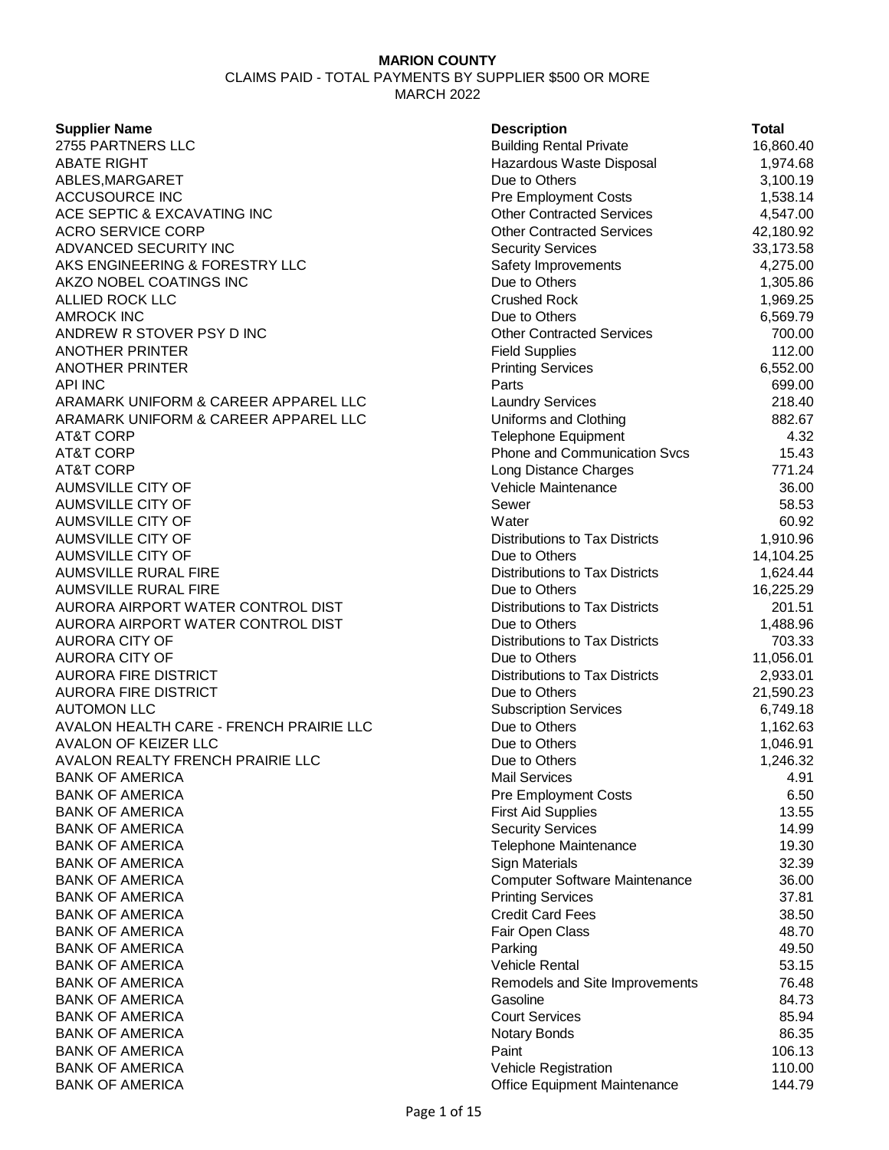CLAIMS PAID - TOTAL PAYMENTS BY SUPPLIER \$500 OR MORE MARCH 2022

#### **Supplier Name**

2755 PARTNERS LLC ABATE RIGHT Hazardous Waste Disposal 1,974.68 ABLES, MARGARET ACCUSOURCE INC ACE SEPTIC & EXCAVATING INC ACRO SERVICE CORP ADVANCED SECURITY INC AKS ENGINEERING & FORESTRY LLC AKZO NOBEL COATINGS INC ALLIED ROCK LLC **AMROCK INC** ANDREW R STOVER PSY D INC ANOTHER PRINTER **ANOTHER PRINTER** API INC 699.00 ARAMARK UNIFORM & CAREER APPAREL LLC ARAMARK UNIFORM & CAREER APPAREL LLC AT&T CORP Telephone Equipment 4.32 AT&T CORP **Phone and Communication Svcs** 15.43 AT&T CORP **Long Distance Charges** 771.24 AUMSVILLE CITY OF AUMSVILLE CITY OF AUMSVILLE CITY OF AUMSVILLE CITY OF AUMSVILLE CITY OF AUMSVILLE RURAL FIRE AUMSVILLE RURAL FIRE AURORA AIRPORT WATER CONTROL DIST AURORA AIRPORT WATER CONTROL DIST **AURORA CITY OF** AURORA CITY OF AURORA FIRE DISTRICT AURORA FIRE DISTRICT **AUTOMON LLC** AVALON HEALTH CARE - FRENCH PRAIRIE LLC AVALON OF KEIZER LLC AVALON REALTY FRENCH PRAIRIE LLC **BANK OF AMERICA BANK OF AMERICA BANK OF AMERICA BANK OF AMERICA BANK OF AMERICA BANK OF AMERICA BANK OF AMERICA BANK OF AMERICA BANK OF AMERICA BANK OF AMERICA BANK OF AMERICA BANK OF AMERICA** BANK OF AMERICA **BANK OF AMERICA BANK OF AMERICA BANK OF AMERICA BANK OF AMERICA BANK OF AMERICA** BANK OF AMERICA

| <b>Description</b>                    | Total     |
|---------------------------------------|-----------|
| <b>Building Rental Private</b>        | 16,860.40 |
| Hazardous Waste Disposal              | 1,974.68  |
| Due to Others                         | 3,100.19  |
| <b>Pre Employment Costs</b>           | 1,538.14  |
| <b>Other Contracted Services</b>      | 4,547.00  |
| <b>Other Contracted Services</b>      | 42,180.92 |
| <b>Security Services</b>              | 33,173.58 |
| Safety Improvements                   | 4,275.00  |
| Due to Others                         | 1,305.86  |
| <b>Crushed Rock</b>                   | 1,969.25  |
| Due to Others                         | 6,569.79  |
| <b>Other Contracted Services</b>      | 700.00    |
| <b>Field Supplies</b>                 | 112.00    |
| <b>Printing Services</b>              | 6,552.00  |
| Parts                                 | 699.00    |
| <b>Laundry Services</b>               | 218.40    |
| Uniforms and Clothing                 | 882.67    |
| Telephone Equipment                   | 4.32      |
| <b>Phone and Communication Svcs</b>   | 15.43     |
| Long Distance Charges                 | 771.24    |
| Vehicle Maintenance                   | 36.00     |
| Sewer                                 | 58.53     |
| Water                                 | 60.92     |
| <b>Distributions to Tax Districts</b> | 1,910.96  |
| Due to Others                         | 14,104.25 |
| <b>Distributions to Tax Districts</b> | 1,624.44  |
| Due to Others                         | 16,225.29 |
| <b>Distributions to Tax Districts</b> | 201.51    |
| Due to Others                         | 1,488.96  |
| <b>Distributions to Tax Districts</b> | 703.33    |
| Due to Others                         | 11,056.01 |
| <b>Distributions to Tax Districts</b> | 2,933.01  |
| Due to Others                         | 21,590.23 |
| <b>Subscription Services</b>          | 6,749.18  |
| Due to Others                         | 1,162.63  |
| Due to Others                         | 1,046.91  |
| Due to Others                         | 1,246.32  |
| <b>Mail Services</b>                  | 4.91      |
| <b>Pre Employment Costs</b>           | 6.50      |
| <b>First Aid Supplies</b>             | 13.55     |
| <b>Security Services</b>              | 14.99     |
| <b>Telephone Maintenance</b>          | 19.30     |
| Sign Materials                        | 32.39     |
| <b>Computer Software Maintenance</b>  | 36.00     |
| <b>Printing Services</b>              | 37.81     |
| <b>Credit Card Fees</b>               | 38.50     |
| Fair Open Class                       | 48.70     |
| Parking                               | 49.50     |
| <b>Vehicle Rental</b>                 | 53.15     |
| Remodels and Site Improvements        | 76.48     |
| Gasoline                              | 84.73     |
| <b>Court Services</b>                 | 85.94     |
| Notary Bonds                          | 86.35     |
| Paint                                 | 106.13    |
| Vehicle Registration                  | 110.00    |
| <b>Office Equipment Maintenance</b>   | 144.79    |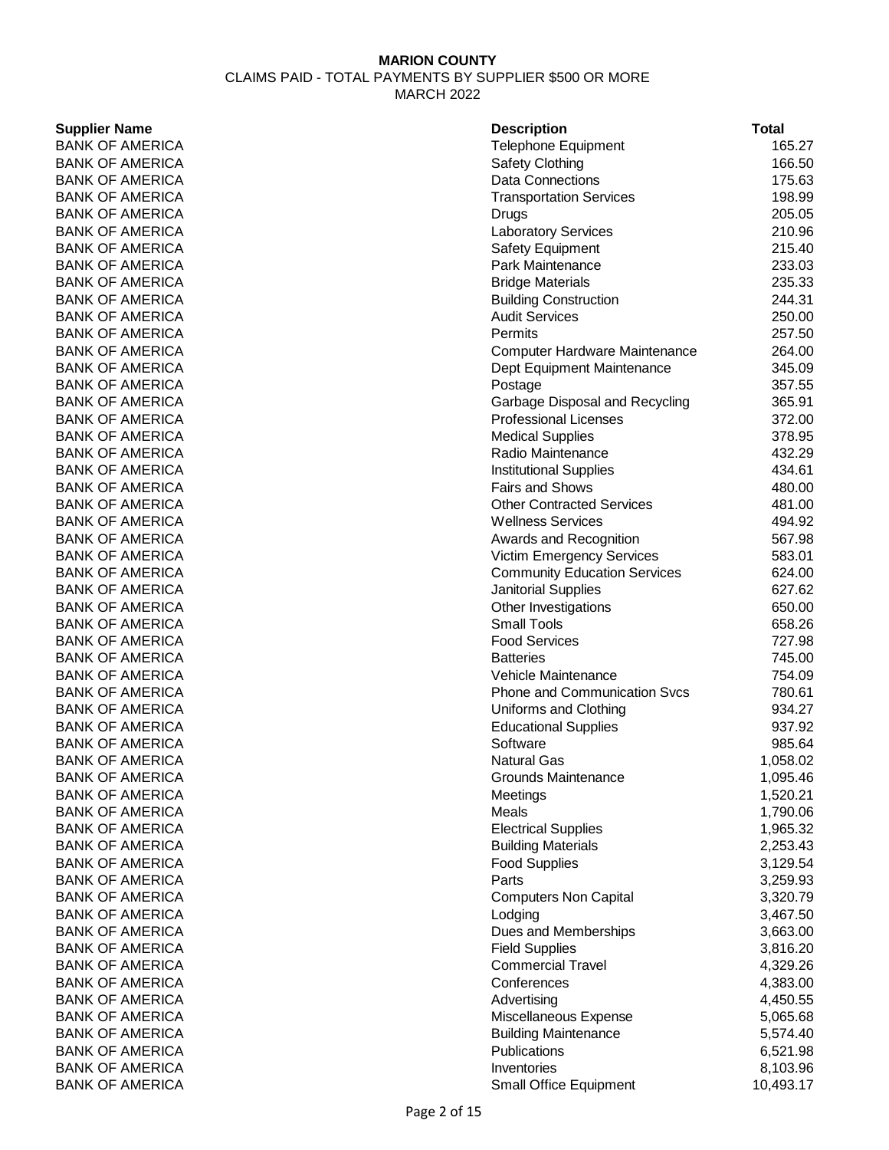# **MARION COUNTY** CLAIMS PAID - TOTAL PAYMENTS BY SUPPLIER \$500 OR MORE MARCH 2022

### **Supplier Name**

**BANK OF AMERICA BANK OF AMERICA BANK OF AMERICA BANK OF AMERICA BANK OF AMERICA BANK OF AMERICA BANK OF AMERICA BANK OF AMERICA BANK OF AMERICA BANK OF AMERICA BANK OF AMERICA BANK OF AMERICA** BANK OF AMERICA **BANK OF AMERICA BANK OF AMERICA BANK OF AMERICA BANK OF AMERICA BANK OF AMERICA BANK OF AMERICA BANK OF AMERICA BANK OF AMERICA BANK OF AMERICA BANK OF AMERICA BANK OF AMERICA BANK OF AMERICA** BANK OF AMERICA **BANK OF AMERICA BANK OF AMERICA BANK OF AMERICA** BANK OF AMERICA BANK OF AMERICA **BANK OF AMERICA BANK OF AMERICA BANK OF AMERICA BANK OF AMERICA BANK OF AMERICA BANK OF AMERICA BANK OF AMERICA BANK OF AMERICA** BANK OF AMERICA **BANK OF AMERICA BANK OF AMERICA BANK OF AMERICA BANK OF AMERICA** BANK OF AMERICA **BANK OF AMERICA BANK OF AMERICA BANK OF AMERICA BANK OF AMERICA BANK OF AMERICA BANK OF AMERICA BANK OF AMERICA BANK OF AMERICA BANK OF AMERICA BANK OF AMERICA** BANK OF AMERICA

| <b>Description</b>                   | <b>Total</b> |
|--------------------------------------|--------------|
| Telephone Equipment                  | 165.27       |
| <b>Safety Clothing</b>               | 166.50       |
| <b>Data Connections</b>              | 175.63       |
| <b>Transportation Services</b>       | 198.99       |
| Drugs                                | 205.05       |
| Laboratory Services                  | 210.96       |
| <b>Safety Equipment</b>              | 215.40       |
| Park Maintenance                     | 233.03       |
| <b>Bridge Materials</b>              | 235.33       |
| <b>Building Construction</b>         | 244.31       |
| <b>Audit Services</b>                | 250.00       |
| Permits                              | 257.50       |
| <b>Computer Hardware Maintenance</b> | 264.00       |
| Dept Equipment Maintenance           | 345.09       |
| Postage                              | 357.55       |
| Garbage Disposal and Recycling       | 365.91       |
| <b>Professional Licenses</b>         | 372.00       |
| <b>Medical Supplies</b>              | 378.95       |
| Radio Maintenance                    | 432.29       |
| <b>Institutional Supplies</b>        | 434.61       |
| <b>Fairs and Shows</b>               | 480.00       |
| <b>Other Contracted Services</b>     | 481.00       |
| <b>Wellness Services</b>             | 494.92       |
| Awards and Recognition               | 567.98       |
| <b>Victim Emergency Services</b>     | 583.01       |
| <b>Community Education Services</b>  | 624.00       |
| Janitorial Supplies                  | 627.62       |
| Other Investigations                 | 650.00       |
| <b>Small Tools</b>                   | 658.26       |
| <b>Food Services</b>                 | 727.98       |
| <b>Batteries</b>                     | 745.00       |
| Vehicle Maintenance                  | 754.09       |
| <b>Phone and Communication Svcs</b>  | 780.61       |
| Uniforms and Clothing                | 934.27       |
| <b>Educational Supplies</b>          | 937.92       |
| Software                             | 985.64       |
| <b>Natural Gas</b>                   | 1,058.02     |
| <b>Grounds Maintenance</b>           | 1,095.46     |
| Meetings                             | 1,520.21     |
| Meals                                | 1,790.06     |
| <b>Electrical Supplies</b>           | 1,965.32     |
| <b>Building Materials</b>            | 2,253.43     |
| <b>Food Supplies</b>                 | 3,129.54     |
| Parts                                | 3,259.93     |
| <b>Computers Non Capital</b>         | 3,320.79     |
| Lodging                              | 3,467.50     |
| Dues and Memberships                 | 3,663.00     |
| <b>Field Supplies</b>                | 3,816.20     |
| <b>Commercial Travel</b>             | 4,329.26     |
| Conferences                          | 4,383.00     |
| Advertising                          | 4,450.55     |
| Miscellaneous Expense                | 5,065.68     |
| <b>Building Maintenance</b>          | 5,574.40     |
| Publications                         | 6,521.98     |
| Inventories                          | 8,103.96     |
| <b>Small Office Equipment</b>        | 10,493.17    |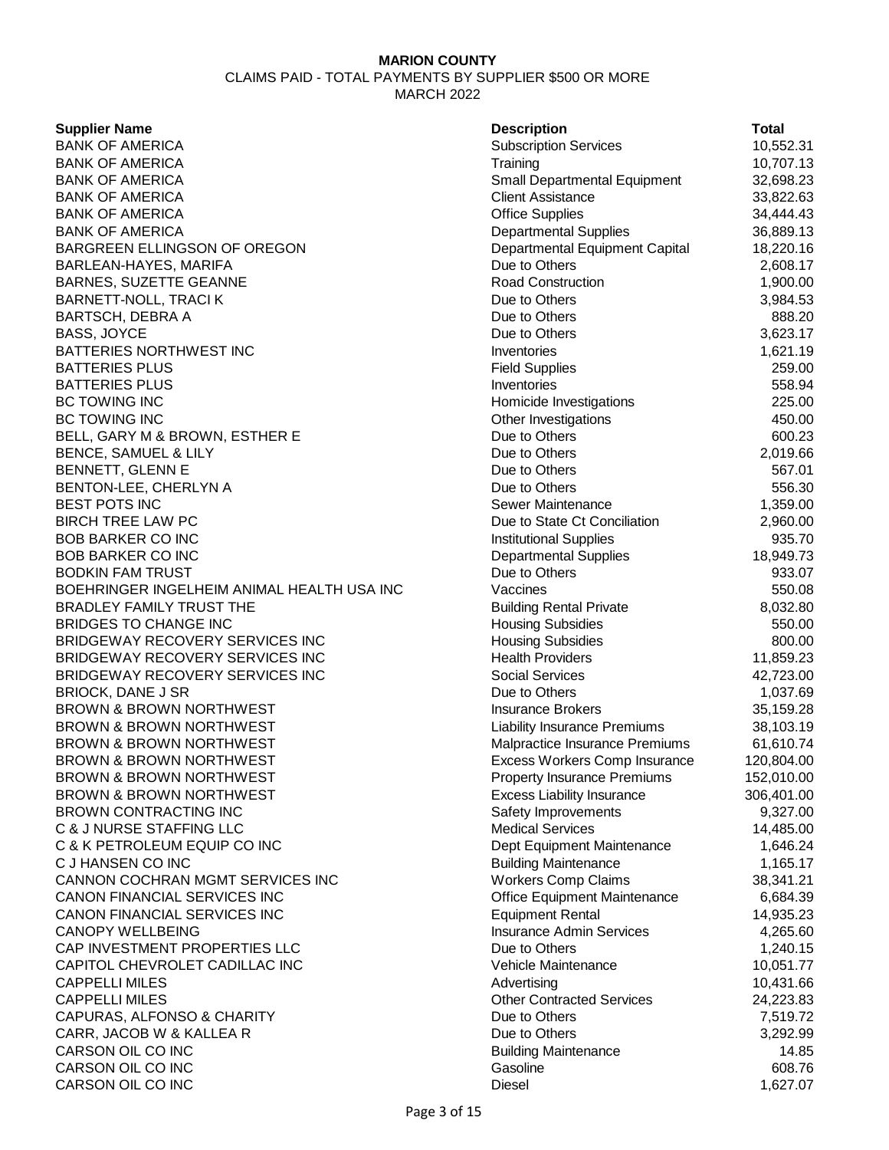CLAIMS PAID - TOTAL PAYMENTS BY SUPPLIER \$500 OR MORE MARCH 2022

### **Supplier Name**

**BANK OF AMERICA BANK OF AMERICA** BANK OF AMERICA **BANK OF AMERICA BANK OF AMERICA BANK OF AMERICA** BARGREEN ELLINGSON OF OREGON BARLEAN-HAYES, MARIFA BARNES, SUZETTE GEANNE BARNETT-NOLL, TRACI K BARTSCH, DEBRA A BASS, JOYCE BATTERIES NORTHWEST INC **BATTERIES PLUS BATTERIES PLUS BC TOWING INC** BC TOWING INC BELL, GARY M & BROWN, ESTHER E BENCE, SAMUEL & LILY BENNETT, GLENN E BENTON-LEE, CHERLYN A BEST POTS INC BIRCH TREE LAW PC **BOB BARKER CO INC BOB BARKER CO INC** BODKIN FAM TRUST BOEHRINGER INGELHEIM ANIMAL HEALTH USA INC BRADLEY FAMILY TRUST THE BRIDGES TO CHANGE INC BRIDGEWAY RECOVERY SERVICES INC BRIDGEWAY RECOVERY SERVICES INC BRIDGEWAY RECOVERY SERVICES INC BRIOCK, DANE J SR BROWN & BROWN NORTHWEST BROWN & BROWN NORTHWEST BROWN & BROWN NORTHWEST BROWN & BROWN NORTHWEST BROWN & BROWN NORTHWEST BROWN & BROWN NORTHWEST BROWN CONTRACTING INC C & J NURSE STAFFING LLC C & K PETROLEUM EQUIP CO INC C J HANSEN CO INC CANNON COCHRAN MGMT SERVICES INC CANON FINANCIAL SERVICES INC CANON FINANCIAL SERVICES INC **CANOPY WELLBEING** CAP INVESTMENT PROPERTIES LLC CAPITOL CHEVROLET CADILLAC INC **CAPPELLI MILES CAPPELLI MILES** CAPURAS, ALFONSO & CHARITY CARR, JACOB W & KALLEA R CARSON OIL CO INC CARSON OIL CO INC CARSON OIL CO INC

| <b>Description</b>                  | Total      |
|-------------------------------------|------------|
| <b>Subscription Services</b>        | 10,552.31  |
| Training                            | 10,707.13  |
| Small Departmental Equipment        | 32,698.23  |
| <b>Client Assistance</b>            | 33,822.63  |
| <b>Office Supplies</b>              | 34,444.43  |
| <b>Departmental Supplies</b>        | 36,889.13  |
| Departmental Equipment Capital      | 18,220.16  |
| Due to Others                       | 2,608.17   |
| <b>Road Construction</b>            | 1,900.00   |
| Due to Others                       | 3,984.53   |
| Due to Others                       | 888.20     |
| Due to Others                       | 3,623.17   |
| Inventories                         | 1,621.19   |
| <b>Field Supplies</b>               | 259.00     |
| Inventories                         | 558.94     |
| Homicide Investigations             | 225.00     |
| Other Investigations                | 450.00     |
| Due to Others                       | 600.23     |
| Due to Others                       | 2,019.66   |
| Due to Others                       | 567.01     |
| Due to Others                       | 556.30     |
| <b>Sewer Maintenance</b>            | 1,359.00   |
| Due to State Ct Conciliation        | 2,960.00   |
| <b>Institutional Supplies</b>       | 935.70     |
| <b>Departmental Supplies</b>        | 18,949.73  |
| Due to Others                       | 933.07     |
| Vaccines                            | 550.08     |
| <b>Building Rental Private</b>      | 8,032.80   |
| <b>Housing Subsidies</b>            | 550.00     |
| <b>Housing Subsidies</b>            | 800.00     |
| <b>Health Providers</b>             | 11,859.23  |
| <b>Social Services</b>              | 42,723.00  |
| Due to Others                       | 1,037.69   |
| <b>Insurance Brokers</b>            | 35,159.28  |
| Liability Insurance Premiums        | 38,103.19  |
| Malpractice Insurance Premiums      | 61,610.74  |
| Excess Workers Comp Insurance       | 120,804.00 |
| <b>Property Insurance Premiums</b>  | 152,010.00 |
| <b>Excess Liability Insurance</b>   | 306,401.00 |
| Safety Improvements                 | 9,327.00   |
| <b>Medical Services</b>             | 14,485.00  |
| Dept Equipment Maintenance          | 1,646.24   |
| <b>Building Maintenance</b>         | 1,165.17   |
| <b>Workers Comp Claims</b>          | 38,341.21  |
| <b>Office Equipment Maintenance</b> | 6,684.39   |
| <b>Equipment Rental</b>             | 14,935.23  |
| <b>Insurance Admin Services</b>     | 4,265.60   |
| Due to Others                       | 1,240.15   |
| Vehicle Maintenance                 | 10,051.77  |
| Advertising                         | 10,431.66  |
| <b>Other Contracted Services</b>    | 24,223.83  |
| Due to Others                       | 7,519.72   |
| Due to Others                       | 3,292.99   |
| <b>Building Maintenance</b>         | 14.85      |
| Gasoline                            | 608.76     |
| Diesel                              | 1,627.07   |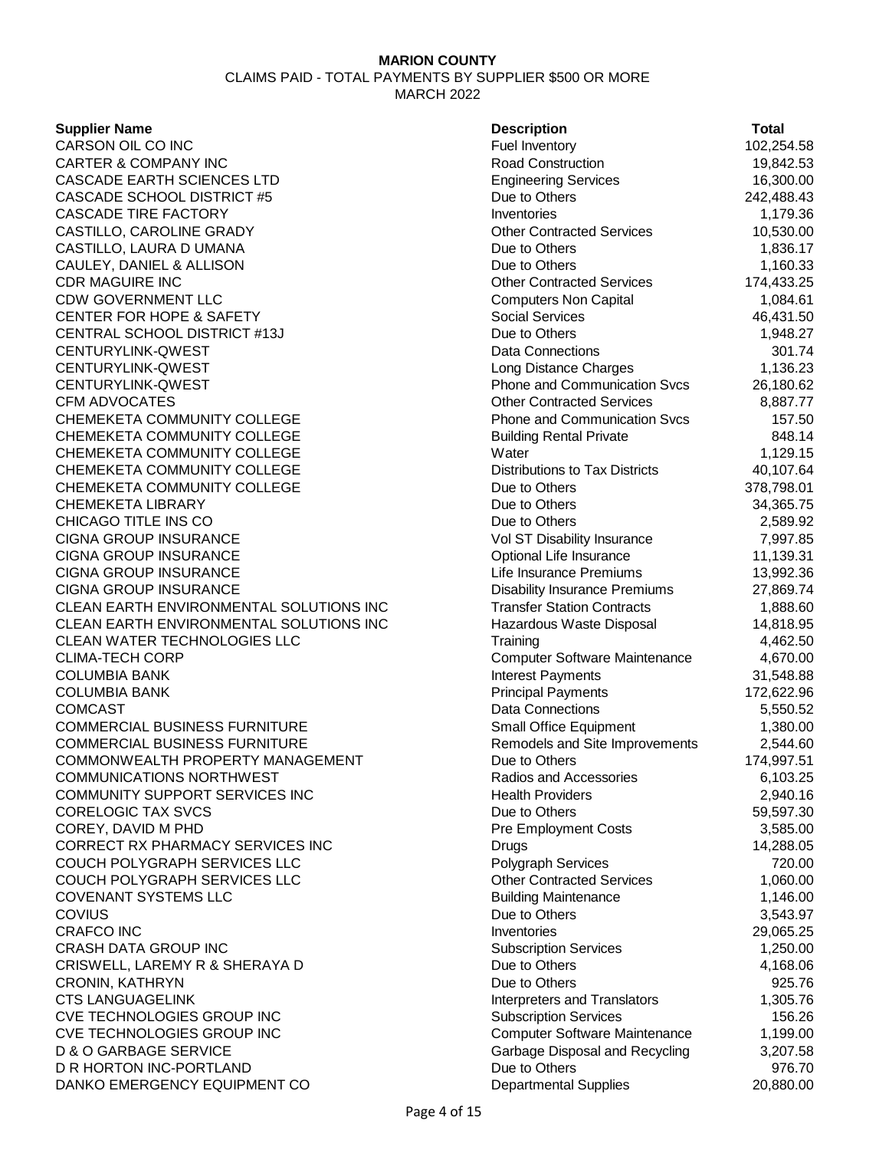CLAIMS PAID - TOTAL PAYMENTS BY SUPPLIER \$500 OR MORE MARCH 2022

### **Supplier Name**

CARSON OIL CO INC **CARTER & COMPANY INC** CASCADE EARTH SCIENCES LTD CASCADE SCHOOL DISTRICT #5 **CASCADE TIRE FACTORY** CASTILLO, CAROLINE GRADY CASTILLO, LAURA DUMANA CAULEY, DANIEL & ALLISON **CDR MAGUIRE INC** CDW GOVERNMENT LLC CENTER FOR HOPE & SAFETY CENTRAL SCHOOL DISTRICT #13J CENTURYLINK-QWEST CENTURYLINK-QWEST CENTURYLINK-QWEST CFM ADVOCATES CHEMEKETA COMMUNITY COLLEGE CHEMEKETA COMMUNITY COLLEGE CHEMEKETA COMMUNITY COLLEGE CHEMEKETA COMMUNITY COLLEGE CHEMEKETA COMMUNITY COLLEGE **CHEMEKETA LIBRARY** CHICAGO TITLE INS CO CIGNA GROUP INSURANCE CIGNA GROUP INSURANCE CIGNA GROUP INSURANCE CIGNA GROUP INSURANCE CLEAN EARTH ENVIRONMENTAL SOLUTIONS INC CLEAN EARTH ENVIRONMENTAL SOLUTIONS INC **CLEAN WATER TECHNOLOGIES LLC** CLIMA-TECH CORP **COLUMBIA BANK COLUMBIA BANK** COMCAST 6,550.52 COMMERCIAL BUSINESS FURNITURE COMMERCIAL BUSINESS FURNITURE COMMONWEALTH PROPERTY MANAGEMENT COMMUNICATIONS NORTHWEST COMMUNITY SUPPORT SERVICES INC CORELOGIC TAX SVCS COREY, DAVID M PHD CORRECT RX PHARMACY SERVICES INC COUCH POLYGRAPH SERVICES LLC COUCH POLYGRAPH SERVICES LLC **COVENANT SYSTEMS LLC COVIUS** 2,543.97 CRAFCO INC 29,065.25 **CRASH DATA GROUP INC** CRISWELL, LAREMY R & SHERAYA D CRONIN, KATHRYN CTS LANGUAGELINK CVE TECHNOLOGIES GROUP INC CVE TECHNOLOGIES GROUP INC D & O GARBAGE SERVICE D R HORTON INC-PORTLAND DANKO EMERGENCY EQUIPMENT CO Departmental Supplies 20,880.00

| <b>Description</b>                    | <b>Total</b> |
|---------------------------------------|--------------|
| Fuel Inventory                        | 102,254.58   |
| <b>Road Construction</b>              | 19,842.53    |
| <b>Engineering Services</b>           | 16,300.00    |
| Due to Others                         | 242,488.43   |
| Inventories                           | 1,179.36     |
| <b>Other Contracted Services</b>      | 10,530.00    |
| Due to Others                         | 1,836.17     |
| Due to Others                         | 1,160.33     |
| <b>Other Contracted Services</b>      | 174,433.25   |
| <b>Computers Non Capital</b>          | 1,084.61     |
| <b>Social Services</b>                | 46,431.50    |
| Due to Others                         | 1,948.27     |
| <b>Data Connections</b>               | 301.74       |
| Long Distance Charges                 | 1,136.23     |
| Phone and Communication Svcs          | 26,180.62    |
| <b>Other Contracted Services</b>      | 8,887.77     |
| Phone and Communication Svcs          | 157.50       |
| <b>Building Rental Private</b>        | 848.14       |
| Water                                 | 1,129.15     |
| <b>Distributions to Tax Districts</b> | 40,107.64    |
| Due to Others                         | 378,798.01   |
| Due to Others                         | 34,365.75    |
| Due to Others                         | 2,589.92     |
| Vol ST Disability Insurance           | 7,997.85     |
| Optional Life Insurance               | 11,139.31    |
| Life Insurance Premiums               | 13,992.36    |
| <b>Disability Insurance Premiums</b>  | 27,869.74    |
| <b>Transfer Station Contracts</b>     | 1,888.60     |
| Hazardous Waste Disposal              | 14,818.95    |
| Training                              | 4,462.50     |
| <b>Computer Software Maintenance</b>  | 4,670.00     |
| Interest Payments                     | 31,548.88    |
| <b>Principal Payments</b>             | 172,622.96   |
| <b>Data Connections</b>               | 5,550.52     |
| <b>Small Office Equipment</b>         | 1,380.00     |
| Remodels and Site Improvements        | 2,544.60     |
| Due to Others                         | 174,997.51   |
| Radios and Accessories                | 6,103.25     |
| <b>Health Providers</b>               | 2,940.16     |
| Due to Others                         | 59,597.30    |
| <b>Pre Employment Costs</b>           | 3,585.00     |
| Drugs                                 | 14,288.05    |
| Polygraph Services                    | 720.00       |
| <b>Other Contracted Services</b>      | 1,060.00     |
| <b>Building Maintenance</b>           | 1,146.00     |
| Due to Others                         | 3,543.97     |
| Inventories                           | 29,065.25    |
| <b>Subscription Services</b>          | 1,250.00     |
| Due to Others                         | 4,168.06     |
| Due to Others                         | 925.76       |
| Interpreters and Translators          | 1,305.76     |
| <b>Subscription Services</b>          | 156.26       |
| <b>Computer Software Maintenance</b>  | 1,199.00     |
| Garbage Disposal and Recycling        | 3,207.58     |
| Due to Others                         | 976.70       |
| Denartmental Sunnlige                 | 20 880 00    |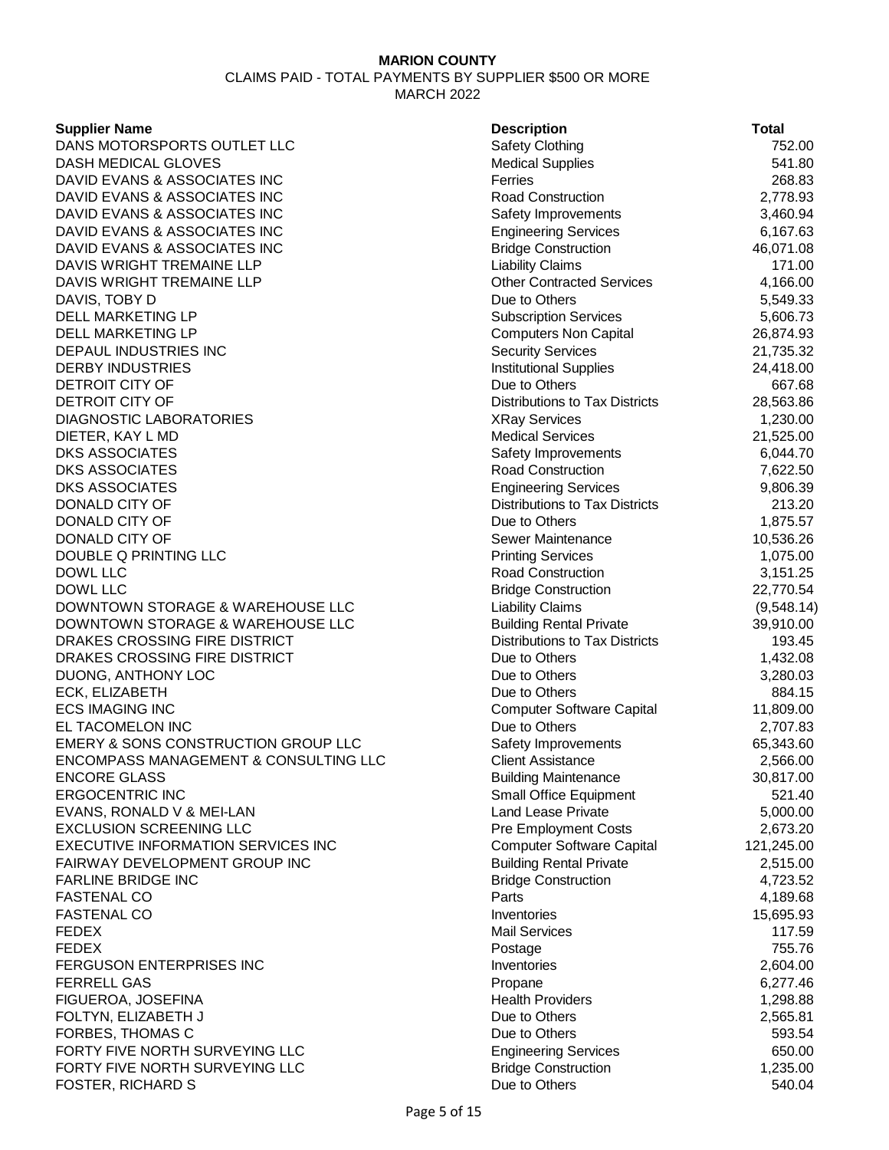CLAIMS PAID - TOTAL PAYMENTS BY SUPPLIER \$500 OR MORE MARCH 2022

### **Supplier Name**

| <b>Supplier Name</b>                  | <b>Description</b>                    | <b>Total</b> |
|---------------------------------------|---------------------------------------|--------------|
| DANS MOTORSPORTS OUTLET LLC           | <b>Safety Clothing</b>                | 752.00       |
| DASH MEDICAL GLOVES                   | <b>Medical Supplies</b>               | 541.80       |
| DAVID EVANS & ASSOCIATES INC          | Ferries                               | 268.83       |
| DAVID EVANS & ASSOCIATES INC          | <b>Road Construction</b>              | 2,778.93     |
| DAVID EVANS & ASSOCIATES INC          | Safety Improvements                   | 3,460.94     |
| DAVID EVANS & ASSOCIATES INC          | <b>Engineering Services</b>           | 6,167.63     |
| DAVID EVANS & ASSOCIATES INC          | <b>Bridge Construction</b>            | 46,071.08    |
| DAVIS WRIGHT TREMAINE LLP             | <b>Liability Claims</b>               | 171.00       |
| DAVIS WRIGHT TREMAINE LLP             | <b>Other Contracted Services</b>      | 4,166.00     |
| DAVIS, TOBY D                         | Due to Others                         | 5,549.33     |
| DELL MARKETING LP                     | <b>Subscription Services</b>          | 5,606.73     |
| DELL MARKETING LP                     | <b>Computers Non Capital</b>          | 26,874.93    |
| DEPAUL INDUSTRIES INC                 | <b>Security Services</b>              | 21,735.32    |
| DERBY INDUSTRIES                      | <b>Institutional Supplies</b>         | 24,418.00    |
| DETROIT CITY OF                       | Due to Others                         | 667.68       |
| DETROIT CITY OF                       | Distributions to Tax Districts        | 28,563.86    |
| DIAGNOSTIC LABORATORIES               | <b>XRay Services</b>                  | 1,230.00     |
| DIETER, KAY L MD                      | <b>Medical Services</b>               | 21,525.00    |
| DKS ASSOCIATES                        | Safety Improvements                   | 6,044.70     |
| <b>DKS ASSOCIATES</b>                 | <b>Road Construction</b>              | 7,622.50     |
| DKS ASSOCIATES                        | <b>Engineering Services</b>           | 9,806.39     |
| <b>DONALD CITY OF</b>                 | <b>Distributions to Tax Districts</b> | 213.20       |
| DONALD CITY OF                        | Due to Others                         | 1,875.57     |
| DONALD CITY OF                        | Sewer Maintenance                     | 10,536.26    |
| DOUBLE Q PRINTING LLC                 | <b>Printing Services</b>              | 1,075.00     |
| DOWL LLC                              | <b>Road Construction</b>              | 3,151.25     |
| DOWL LLC                              | <b>Bridge Construction</b>            | 22,770.54    |
| DOWNTOWN STORAGE & WAREHOUSE LLC      | <b>Liability Claims</b>               | (9,548.14)   |
| DOWNTOWN STORAGE & WAREHOUSE LLC      | <b>Building Rental Private</b>        | 39,910.00    |
| DRAKES CROSSING FIRE DISTRICT         | Distributions to Tax Districts        | 193.45       |
| DRAKES CROSSING FIRE DISTRICT         | Due to Others                         | 1,432.08     |
| DUONG, ANTHONY LOC                    | Due to Others                         | 3,280.03     |
| ECK, ELIZABETH                        | Due to Others                         | 884.15       |
| ECS IMAGING INC                       | <b>Computer Software Capital</b>      | 11,809.00    |
| EL TACOMELON INC                      | Due to Others                         | 2,707.83     |
| EMERY & SONS CONSTRUCTION GROUP LLC   | Safety Improvements                   | 65,343.60    |
| ENCOMPASS MANAGEMENT & CONSULTING LLC | <b>Client Assistance</b>              | 2,566.00     |
| ENCORE GLASS                          | <b>Building Maintenance</b>           | 30,817.00    |
| ERGOCENTRIC INC                       | Small Office Equipment                | 521.40       |
| EVANS, RONALD V & MEI-LAN             | <b>Land Lease Private</b>             | 5,000.00     |
| <b>EXCLUSION SCREENING LLC</b>        | Pre Employment Costs                  | 2,673.20     |
| EXECUTIVE INFORMATION SERVICES INC    | <b>Computer Software Capital</b>      | 121,245.00   |
| FAIRWAY DEVELOPMENT GROUP INC         | <b>Building Rental Private</b>        | 2,515.00     |
| <b>FARLINE BRIDGE INC</b>             | <b>Bridge Construction</b>            | 4,723.52     |
| <b>FASTENAL CO</b>                    | Parts                                 | 4,189.68     |
| FASTENAL CO                           | Inventories                           | 15,695.93    |
| FEDEX                                 | <b>Mail Services</b>                  | 117.59       |
| FEDEX                                 | Postage                               | 755.76       |
| FERGUSON ENTERPRISES INC              | Inventories                           | 2,604.00     |
| FERRELL GAS                           | Propane                               | 6,277.46     |
| FIGUEROA, JOSEFINA                    | <b>Health Providers</b>               | 1,298.88     |
| FOLTYN, ELIZABETH J                   | Due to Others                         | 2,565.81     |
| FORBES, THOMAS C                      | Due to Others                         | 593.54       |
| FORTY FIVE NORTH SURVEYING LLC        | <b>Engineering Services</b>           | 650.00       |
| FORTY FIVE NORTH SURVEYING LLC        | <b>Bridge Construction</b>            | 1,235.00     |
| FOSTER, RICHARD S                     | Due to Others                         | 540.04       |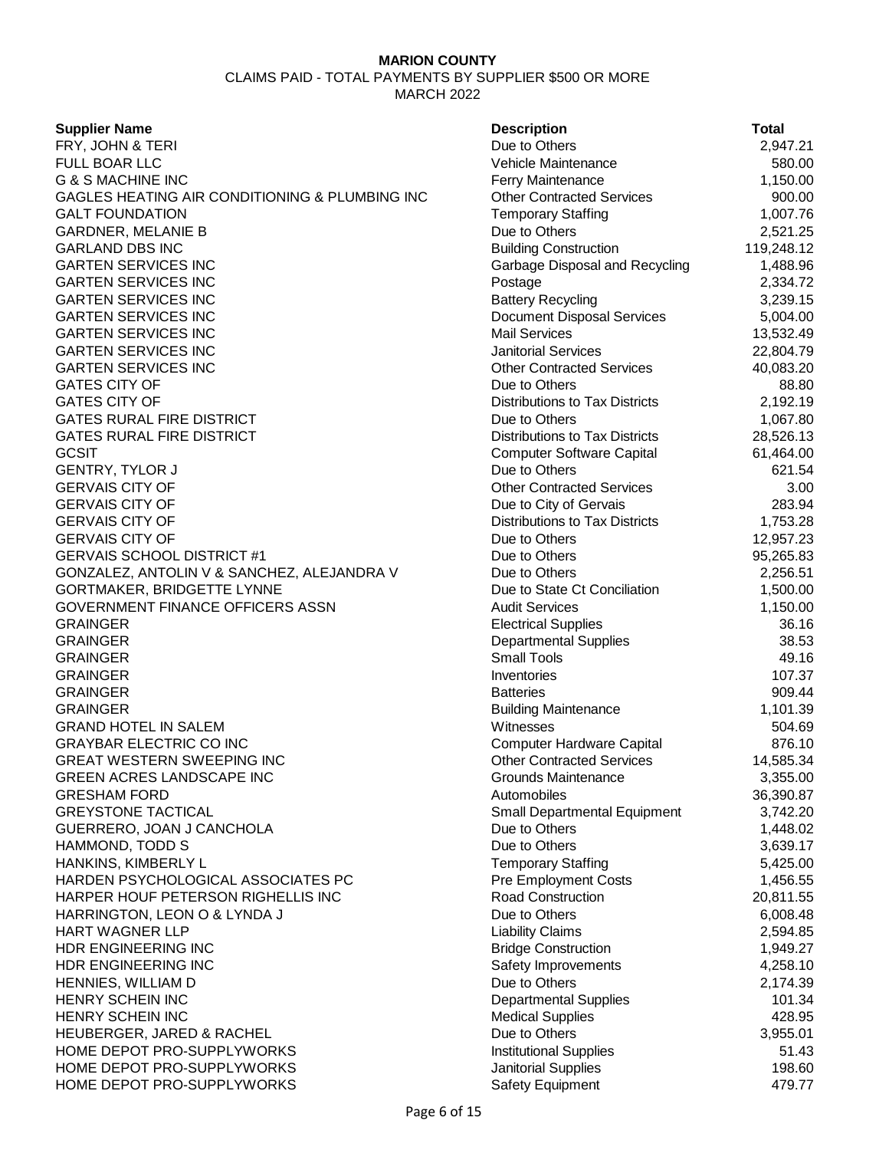CLAIMS PAID - TOTAL PAYMENTS BY SUPPLIER \$500 OR MORE MARCH 2022

**Supplier Name** 

FRY, JOHN & TERI **FULL BOAR LLC** G & S MACHINE INC GAGLES HEATING AIR CONDITIONING & PLUMBING INC **GALT FOUNDATION** GARDNER, MELANIE B **GARLAND DBS INC GARTEN SERVICES INC GARTEN SERVICES INC GARTEN SERVICES INC GARTEN SERVICES INC GARTEN SERVICES INC** GARTEN SERVICES INC **GARTEN SERVICES INC GATES CITY OF GATES CITY OF GATES RURAL FIRE DISTRICT GATES RURAL FIRE DISTRICT** GCSIT GERM Computer Software Capital 61,464.00 GENTRY, TYLOR J **GERVAIS CITY OF GERVAIS CITY OF GERVAIS CITY OF GERVAIS CITY OF** GERVAIS SCHOOL DISTRICT #1 GONZALEZ, ANTOLIN V & SANCHEZ, ALEJANDRA V GORTMAKER, BRIDGETTE LYNNE GOVERNMENT FINANCE OFFICERS ASSN GRAINGER Electrical Supplies 36.16 GRAINGER Departmental Supplies 38.53 GRAINGER Small Tools 49.16 GRAINGER 107.37 GRAINGER Batteries 909.44 GRAINGER Building Maintenance 1,101.39 **GRAND HOTEL IN SALEM GRAYBAR ELECTRIC CO INC** GREAT WESTERN SWEEPING INC GREEN ACRES LANDSCAPE INC **GRESHAM FORD GREYSTONE TACTICAL** GUERRERO, JOAN J CANCHOLA HAMMOND, TODD S HANKINS, KIMBERLY L HARDEN PSYCHOLOGICAL ASSOCIATES PC HARPER HOUF PETERSON RIGHELLIS INC HARRINGTON, LEON O & LYNDA J **HART WAGNER LLP** HDR ENGINEERING INC HDR ENGINEERING INC HENNIES, WILLIAM D HENRY SCHEIN INC HENRY SCHEIN INC HEUBERGER, JARED & RACHEL HOME DEPOT PRO-SUPPLYWORKS HOME DEPOT PRO-SUPPLYWORKS HOME DEPOT PRO-SUPPLYWORKS

| <b>Description</b>                    | <b>Total</b>          |
|---------------------------------------|-----------------------|
| Due to Others                         | 2,947.21              |
| Vehicle Maintenance                   | 580.00                |
| Ferry Maintenance                     | 1,150.00              |
| <b>Other Contracted Services</b>      | 900.00                |
| <b>Temporary Staffing</b>             | 1,007.76              |
| Due to Others                         | 2,521.25              |
| <b>Building Construction</b>          | 119,248.12            |
| Garbage Disposal and Recycling        | 1,488.96              |
| Postage                               | 2,334.72              |
| <b>Battery Recycling</b>              | 3,239.15              |
| <b>Document Disposal Services</b>     | 5,004.00              |
| <b>Mail Services</b>                  | 13,532.49             |
| <b>Janitorial Services</b>            | 22,804.79             |
| <b>Other Contracted Services</b>      | 40,083.20             |
| Due to Others                         | 88.80                 |
| <b>Distributions to Tax Districts</b> | 2,192.19              |
| Due to Others                         | 1,067.80              |
| <b>Distributions to Tax Districts</b> | 28,526.13             |
| <b>Computer Software Capital</b>      | 61,464.00             |
| Due to Others                         | 621.54                |
| <b>Other Contracted Services</b>      | 3.00                  |
| Due to City of Gervais                | 283.94                |
| <b>Distributions to Tax Districts</b> | 1,753.28              |
| Due to Others                         | 12,957.23             |
| Due to Others                         | 95,265.83             |
| Due to Others                         | 2,256.51              |
| Due to State Ct Conciliation          | 1,500.00              |
| <b>Audit Services</b>                 | 1,150.00              |
| <b>Electrical Supplies</b>            | 36.16                 |
| <b>Departmental Supplies</b>          | 38.53                 |
| <b>Small Tools</b>                    | 49.16                 |
| Inventories                           | 107.37                |
| <b>Batteries</b>                      | 909.44                |
| <b>Building Maintenance</b>           | 1,101.39              |
| Witnesses                             | 504.69                |
| <b>Computer Hardware Capital</b>      | 876.10                |
| <b>Other Contracted Services</b>      | 14,585.34             |
| <b>Grounds Maintenance</b>            | 3,355.00              |
| Automobiles                           | 36,390.87             |
| Small Departmental Equipment          | 3,742.20              |
| Due to Others                         | 1,448.02              |
| Due to Others                         | 3,639.17              |
| <b>Temporary Staffing</b>             | 5,425.00              |
| <b>Pre Employment Costs</b>           | 1,456.55              |
| Road Construction<br>Due to Others    | 20,811.55<br>6,008.48 |
| <b>Liability Claims</b>               | 2,594.85              |
| <b>Bridge Construction</b>            | 1,949.27              |
| Safety Improvements                   | 4,258.10              |
| Due to Others                         | 2,174.39              |
| <b>Departmental Supplies</b>          | 101.34                |
| <b>Medical Supplies</b>               | 428.95                |
| Due to Others                         | 3,955.01              |
| <b>Institutional Supplies</b>         | 51.43                 |
| Janitorial Supplies                   | 198.60                |
| Safety Equipment                      | 479.77                |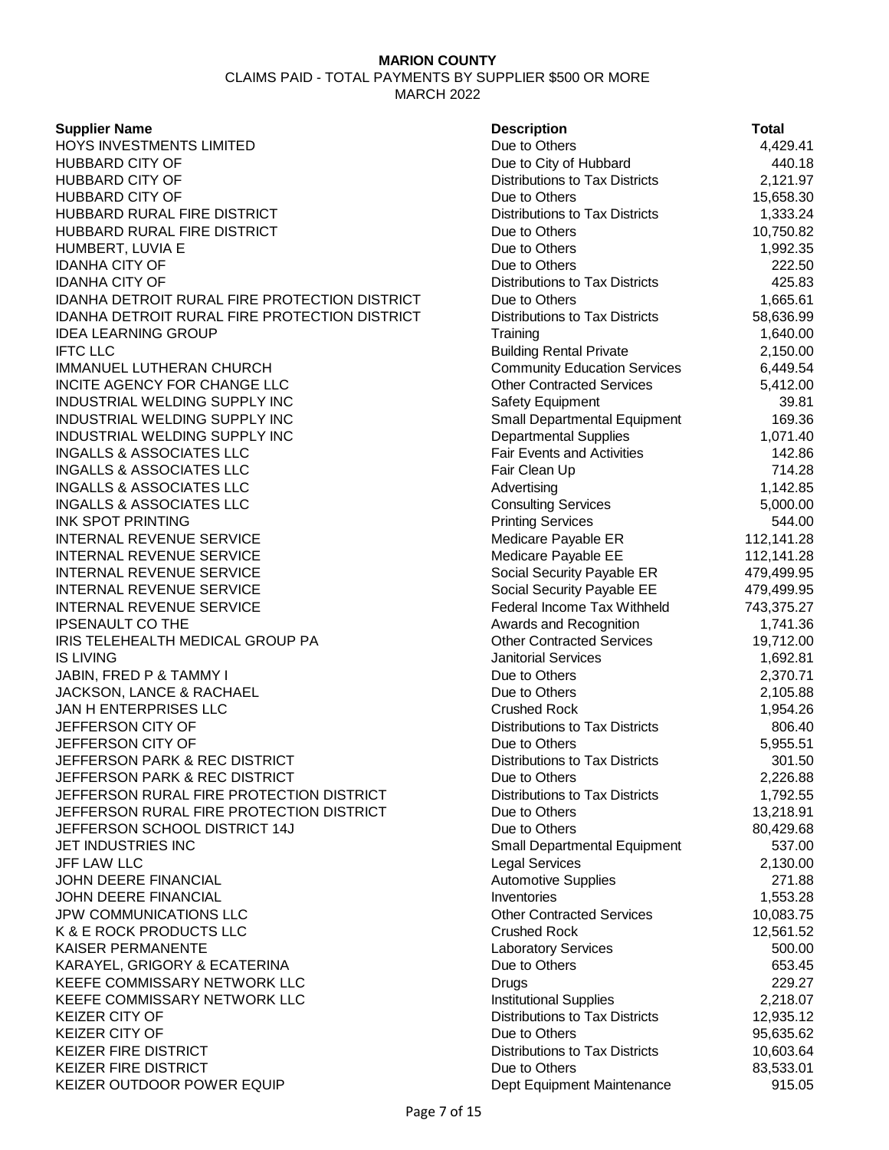CLAIMS PAID - TOTAL PAYMENTS BY SUPPLIER \$500 OR MORE MARCH 2022

**Supplier Name** 

HOYS INVESTMENTS LIMITED HUBBARD CITY OF **HUBBARD CITY OF** HUBBARD CITY OF HUBBARD RURAL FIRE DISTRICT HUBBARD RURAL FIRE DISTRICT HUMBERT, LUVIA E **IDANHA CITY OF IDANHA CITY OF IDANHA DETROIT RURAL FIRE PROTECTION DISTRICT** IDANHA DETROIT RURAL FIRE PROTECTION DISTRICT **IDEA LEARNING GROUP** IFTC LLC Building Rental Private 2,150.00 IMMANUEL LUTHERAN CHURCH INCITE AGENCY FOR CHANGE LLC INDUSTRIAL WELDING SUPPLY INC INDUSTRIAL WELDING SUPPLY INC INDUSTRIAL WELDING SUPPLY INC **INGALLS & ASSOCIATES LLC INGALLS & ASSOCIATES LLC INGALLS & ASSOCIATES LLC** INGALLS & ASSOCIATES LLC **INK SPOT PRINTING** INTERNAL REVENUE SERVICE **INTERNAL REVENUE SERVICE** INTERNAL REVENUE SERVICE INTERNAL REVENUE SERVICE INTERNAL REVENUE SERVICE **IPSENAULT CO THE** IRIS TELEHEALTH MEDICAL GROUP PA IS LIVING Janitorial Services 1,692.81 JABIN, FRED P & TAMMY I JACKSON, LANCE & RACHAEL JAN H ENTERPRISES LLC JEFFERSON CITY OF **JEFFERSON CITY OF** JEFFERSON PARK & REC DISTRICT **JEFFERSON PARK & REC DISTRICT** JEFFERSON RURAL FIRE PROTECTION DISTRICT JEFFERSON RURAL FIRE PROTECTION DISTRICT JEFFERSON SCHOOL DISTRICT 14J JET INDUSTRIES INC JFF LAW LLC Legal Services 2,130.00 JOHN DEERE FINANCIAL **JOHN DEERE FINANCIAL** JPW COMMUNICATIONS LLC K & E ROCK PRODUCTS LLC KAISER PERMANENTE KARAYEL, GRIGORY & ECATERINA KEEFE COMMISSARY NETWORK LLC KEEFE COMMISSARY NETWORK LLC KEIZER CITY OF KEIZER CITY OF KEIZER FIRE DISTRICT KEIZER FIRE DISTRICT KEIZER OUTDOOR POWER EQUIP

| <b>Description</b>                    | <b>Total</b> |
|---------------------------------------|--------------|
| Due to Others                         | 4,429.41     |
| Due to City of Hubbard                | 440.18       |
| <b>Distributions to Tax Districts</b> | 2,121.97     |
| Due to Others                         | 15,658.30    |
| <b>Distributions to Tax Districts</b> | 1,333.24     |
| Due to Others                         | 10,750.82    |
| Due to Others                         | 1,992.35     |
| Due to Others                         | 222.50       |
| <b>Distributions to Tax Districts</b> | 425.83       |
| Due to Others                         | 1,665.61     |
| <b>Distributions to Tax Districts</b> | 58,636.99    |
| Training                              | 1,640.00     |
| <b>Building Rental Private</b>        | 2,150.00     |
| <b>Community Education Services</b>   | 6,449.54     |
| <b>Other Contracted Services</b>      | 5,412.00     |
| <b>Safety Equipment</b>               | 39.81        |
| Small Departmental Equipment          | 169.36       |
| <b>Departmental Supplies</b>          | 1,071.40     |
| <b>Fair Events and Activities</b>     | 142.86       |
| Fair Clean Up                         | 714.28       |
| Advertising                           | 1,142.85     |
| <b>Consulting Services</b>            | 5,000.00     |
| <b>Printing Services</b>              | 544.00       |
| Medicare Payable ER                   | 112,141.28   |
| Medicare Payable EE                   | 112,141.28   |
| Social Security Payable ER            | 479,499.95   |
| Social Security Payable EE            | 479,499.95   |
| Federal Income Tax Withheld           | 743,375.27   |
| Awards and Recognition                | 1,741.36     |
| <b>Other Contracted Services</b>      | 19,712.00    |
| <b>Janitorial Services</b>            | 1,692.81     |
| Due to Others                         | 2,370.71     |
| Due to Others                         | 2,105.88     |
| <b>Crushed Rock</b>                   | 1,954.26     |
| <b>Distributions to Tax Districts</b> | 806.40       |
| Due to Others                         | 5,955.51     |
| Distributions to Tax Districts        | 301.50       |
| Due to Others                         | 2,226.88     |
| <b>Distributions to Tax Districts</b> | 1,792.55     |
| Due to Others                         | 13,218.91    |
| Due to Others                         | 80,429.68    |
| <b>Small Departmental Equipment</b>   | 537.00       |
| <b>Legal Services</b>                 | 2,130.00     |
| <b>Automotive Supplies</b>            | 271.88       |
| Inventories                           | 1,553.28     |
| <b>Other Contracted Services</b>      | 10,083.75    |
| <b>Crushed Rock</b>                   | 12,561.52    |
| Laboratory Services                   | 500.00       |
| Due to Others                         | 653.45       |
| Drugs                                 | 229.27       |
| <b>Institutional Supplies</b>         | 2,218.07     |
| <b>Distributions to Tax Districts</b> | 12,935.12    |
| Due to Others                         | 95,635.62    |
| <b>Distributions to Tax Districts</b> | 10,603.64    |
| Due to Others                         | 83,533.01    |
| Dept Equipment Maintenance            | 915.05       |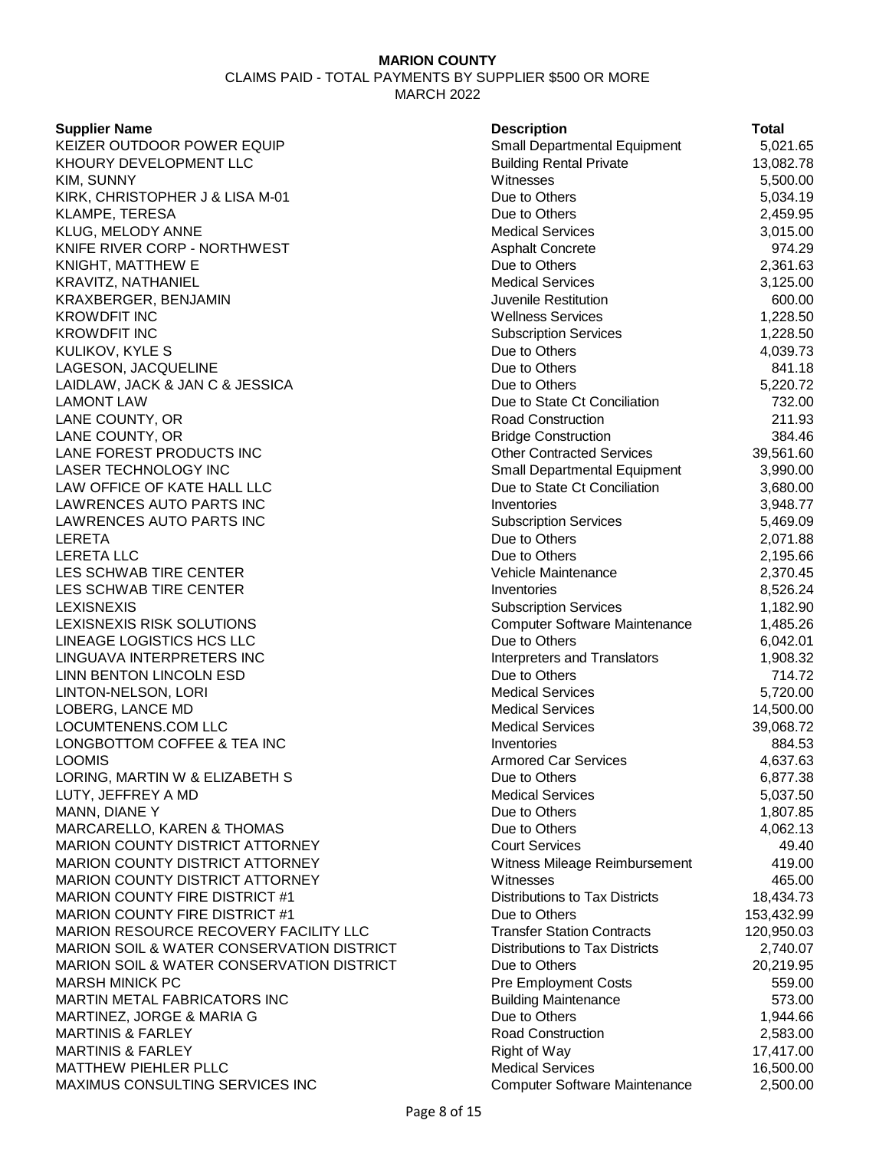CLAIMS PAID - TOTAL PAYMENTS BY SUPPLIER \$500 OR MORE MARCH 2022

### **Supplier Name**

| <b>Supplier Name</b>                                 | <b>Description</b>                    | <b>Total</b> |
|------------------------------------------------------|---------------------------------------|--------------|
| KEIZER OUTDOOR POWER EQUIP                           | Small Departmental Equipment          | 5,021.65     |
| KHOURY DEVELOPMENT LLC                               | <b>Building Rental Private</b>        | 13,082.78    |
| KIM, SUNNY                                           | Witnesses                             | 5,500.00     |
| KIRK, CHRISTOPHER J & LISA M-01                      | Due to Others                         | 5,034.19     |
| KLAMPE, TERESA                                       | Due to Others                         | 2,459.95     |
| KLUG, MELODY ANNE                                    | <b>Medical Services</b>               | 3,015.00     |
| KNIFE RIVER CORP - NORTHWEST                         | <b>Asphalt Concrete</b>               | 974.29       |
| KNIGHT, MATTHEW E                                    | Due to Others                         | 2,361.63     |
| KRAVITZ, NATHANIEL                                   | <b>Medical Services</b>               | 3,125.00     |
| KRAXBERGER, BENJAMIN                                 | Juvenile Restitution                  | 600.00       |
| <b>KROWDFIT INC</b>                                  | <b>Wellness Services</b>              | 1,228.50     |
| <b>KROWDFIT INC</b>                                  | <b>Subscription Services</b>          | 1,228.50     |
| KULIKOV, KYLE S                                      | Due to Others                         | 4,039.73     |
| LAGESON, JACQUELINE                                  | Due to Others                         | 841.18       |
| LAIDLAW, JACK & JAN C & JESSICA                      | Due to Others                         | 5,220.72     |
| <b>LAMONT LAW</b>                                    | Due to State Ct Conciliation          | 732.00       |
| LANE COUNTY, OR                                      | Road Construction                     | 211.93       |
| LANE COUNTY, OR                                      | <b>Bridge Construction</b>            | 384.46       |
| LANE FOREST PRODUCTS INC                             | <b>Other Contracted Services</b>      | 39,561.60    |
| <b>LASER TECHNOLOGY INC</b>                          | Small Departmental Equipment          | 3,990.00     |
| LAW OFFICE OF KATE HALL LLC                          | Due to State Ct Conciliation          | 3,680.00     |
| LAWRENCES AUTO PARTS INC                             | Inventories                           | 3,948.77     |
| LAWRENCES AUTO PARTS INC                             | <b>Subscription Services</b>          | 5,469.09     |
| LERETA                                               | Due to Others                         | 2,071.88     |
| LERETA LLC                                           | Due to Others                         | 2,195.66     |
| LES SCHWAB TIRE CENTER                               | Vehicle Maintenance                   | 2,370.45     |
| LES SCHWAB TIRE CENTER                               | Inventories                           | 8,526.24     |
| LEXISNEXIS                                           | <b>Subscription Services</b>          | 1,182.90     |
| LEXISNEXIS RISK SOLUTIONS                            | Computer Software Maintenance         | 1,485.26     |
| LINEAGE LOGISTICS HCS LLC                            | Due to Others                         | 6,042.01     |
| LINGUAVA INTERPRETERS INC                            | Interpreters and Translators          | 1,908.32     |
| LINN BENTON LINCOLN ESD                              | Due to Others                         | 714.72       |
| LINTON-NELSON, LORI                                  | <b>Medical Services</b>               | 5,720.00     |
| LOBERG, LANCE MD                                     | <b>Medical Services</b>               | 14,500.00    |
| LOCUMTENENS.COM LLC                                  | <b>Medical Services</b>               | 39,068.72    |
| LONGBOTTOM COFFEE & TEA INC                          | Inventories                           | 884.53       |
| LOOMIS                                               | <b>Armored Car Services</b>           | 4,637.63     |
| LORING, MARTIN W & ELIZABETH S                       | Due to Others                         | 6,877.38     |
| LUTY, JEFFREY A MD                                   | <b>Medical Services</b>               | 5,037.50     |
| MANN, DIANE Y                                        | Due to Others                         | 1,807.85     |
| MARCARELLO, KAREN & THOMAS                           | Due to Others                         | 4,062.13     |
| <b>MARION COUNTY DISTRICT ATTORNEY</b>               | <b>Court Services</b>                 | 49.40        |
| MARION COUNTY DISTRICT ATTORNEY                      | Witness Mileage Reimbursement         | 419.00       |
| <b>MARION COUNTY DISTRICT ATTORNEY</b>               | Witnesses                             | 465.00       |
| MARION COUNTY FIRE DISTRICT #1                       | <b>Distributions to Tax Districts</b> | 18,434.73    |
| <b>MARION COUNTY FIRE DISTRICT #1</b>                | Due to Others                         | 153,432.99   |
| MARION RESOURCE RECOVERY FACILITY LLC                | <b>Transfer Station Contracts</b>     | 120,950.03   |
| <b>MARION SOIL &amp; WATER CONSERVATION DISTRICT</b> | Distributions to Tax Districts        | 2,740.07     |
| MARION SOIL & WATER CONSERVATION DISTRICT            | Due to Others                         | 20,219.95    |
| <b>MARSH MINICK PC</b>                               | <b>Pre Employment Costs</b>           | 559.00       |
| MARTIN METAL FABRICATORS INC                         | <b>Building Maintenance</b>           | 573.00       |
| MARTINEZ, JORGE & MARIA G                            | Due to Others                         | 1,944.66     |
| MARTINIS & FARLEY                                    | <b>Road Construction</b>              | 2,583.00     |
| MARTINIS & FARLEY                                    | Right of Way                          | 17,417.00    |
| MATTHEW PIEHLER PLLC                                 | <b>Medical Services</b>               | 16,500.00    |
| MAYIMLIS CONSLILTING SERVICES INC                    | Computer Software Maintenance         | 2.500.00     |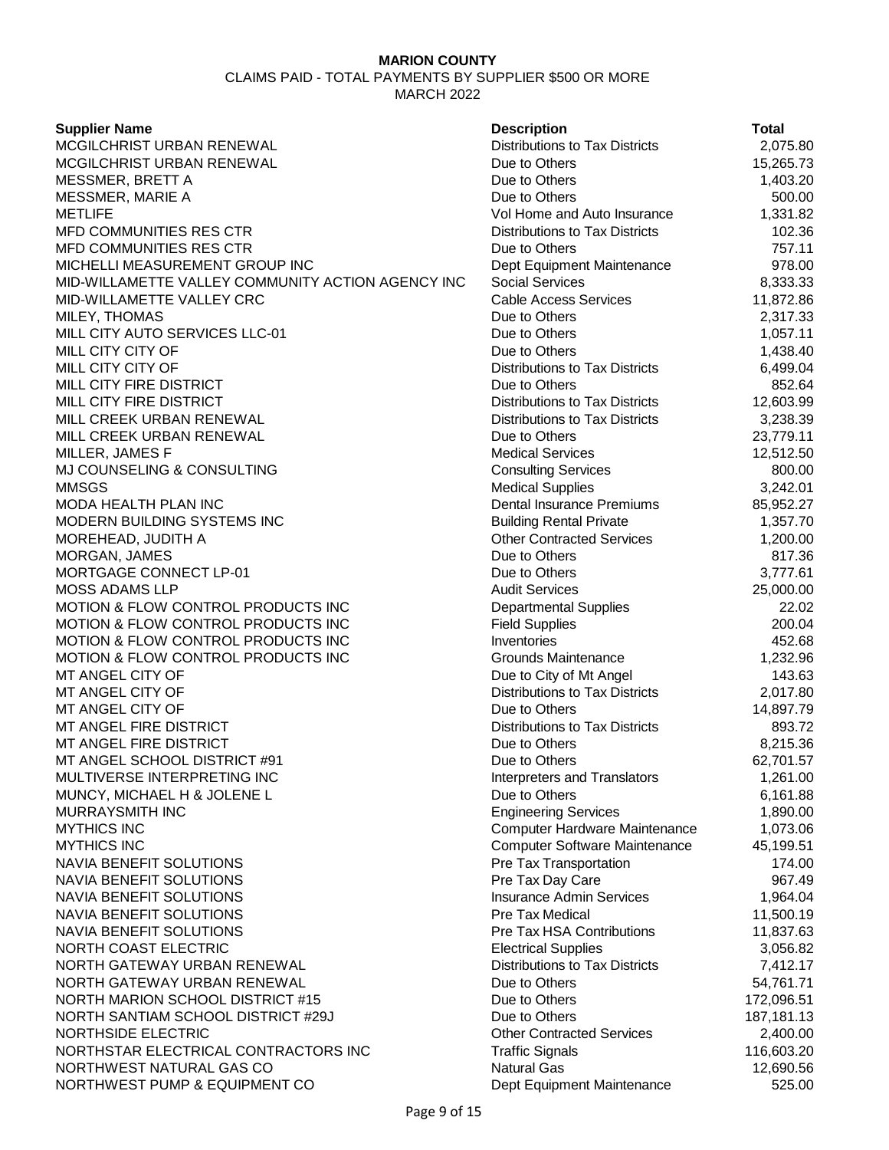CLAIMS PAID - TOTAL PAYMENTS BY SUPPLIER \$500 OR MORE MARCH 2022

**Supplier Name** MCGILCHRIST URBAN RENEWAL MCGILCHRIST URBAN RENEWAL MESSMER, BRETT A MESSMER, MARIE A METLIFE Vol Home and Auto Insurance 1,331.82 MFD COMMUNITIES RES CTR MFD COMMUNITIES RES CTR MICHELLI MEASUREMENT GROUP INC MID-WILLAMETTE VALLEY COMMUNITY ACTION AGENCY INC MID-WILLAMETTE VALLEY CRC MILEY, THOMAS MILL CITY AUTO SERVICES LLC-01 MILL CITY CITY OF MILL CITY CITY OF MILL CITY FIRE DISTRICT MILL CITY FIRE DISTRICT MILL CREEK URBAN RENEWAL MILL CREEK URBAN RENEWAL MILLER, JAMES F MJ COUNSELING & CONSULTING MMSGS Medical Supplies 3,242.01 MODA HEALTH PLAN INC MODERN BUILDING SYSTEMS INC MOREHEAD, JUDITH A MORGAN, JAMES MORTGAGE CONNECT LP-01 MOSS ADAMS LLP MOTION & FLOW CONTROL PRODUCTS INC MOTION & FLOW CONTROL PRODUCTS INC MOTION & FLOW CONTROL PRODUCTS INC MOTION & FLOW CONTROL PRODUCTS INC MT ANGEL CITY OF MT ANGEL CITY OF MT ANGEL CITY OF MT ANGEL FIRE DISTRICT MT ANGEL FIRE DISTRICT MT ANGEL SCHOOL DISTRICT #91 MULTIVERSE INTERPRETING INC MUNCY, MICHAEL H & JOLENE L MURRAYSMITH INC MYTHICS INC **Computer Hardware Maintenance** 1,073.06 **MYTHICS INC** NAVIA BENEFIT SOLUTIONS NAVIA BENEFIT SOLUTIONS NAVIA BENEFIT SOLUTIONS NAVIA BENEFIT SOLUTIONS NAVIA BENEFIT SOLUTIONS NORTH COAST ELECTRIC NORTH GATEWAY URBAN RENEWAL NORTH GATEWAY URBAN RENEWAL NORTH MARION SCHOOL DISTRICT #15 NORTH SANTIAM SCHOOL DISTRICT #29J NORTHSIDE ELECTRIC NORTHSTAR ELECTRICAL CONTRACTORS INC NORTHWEST NATURAL GAS CO NORTHWEST PUMP & EQUIPMENT CO

| <b>Description</b>                    | Total      |
|---------------------------------------|------------|
| <b>Distributions to Tax Districts</b> | 2,075.80   |
| Due to Others                         | 15,265.73  |
| Due to Others                         | 1,403.20   |
| Due to Others                         | 500.00     |
| Vol Home and Auto Insurance           | 1,331.82   |
| <b>Distributions to Tax Districts</b> | 102.36     |
| Due to Others                         | 757.11     |
| Dept Equipment Maintenance            | 978.00     |
| <b>Social Services</b>                | 8,333.33   |
| <b>Cable Access Services</b>          | 11,872.86  |
| Due to Others                         | 2,317.33   |
| Due to Others                         | 1,057.11   |
| Due to Others                         | 1,438.40   |
| <b>Distributions to Tax Districts</b> | 6,499.04   |
| Due to Others                         | 852.64     |
| Distributions to Tax Districts        | 12,603.99  |
| <b>Distributions to Tax Districts</b> | 3,238.39   |
| Due to Others                         | 23,779.11  |
| <b>Medical Services</b>               | 12,512.50  |
| <b>Consulting Services</b>            | 800.00     |
| <b>Medical Supplies</b>               | 3,242.01   |
| Dental Insurance Premiums             | 85,952.27  |
| <b>Building Rental Private</b>        | 1,357.70   |
| <b>Other Contracted Services</b>      | 1,200.00   |
| Due to Others                         | 817.36     |
| Due to Others                         | 3,777.61   |
| <b>Audit Services</b>                 | 25,000.00  |
| <b>Departmental Supplies</b>          | 22.02      |
| <b>Field Supplies</b>                 | 200.04     |
| Inventories                           | 452.68     |
| Grounds Maintenance                   | 1,232.96   |
| Due to City of Mt Angel               | 143.63     |
| <b>Distributions to Tax Districts</b> | 2,017.80   |
| Due to Others                         | 14,897.79  |
| <b>Distributions to Tax Districts</b> | 893.72     |
| Due to Others                         | 8,215.36   |
| Due to Others                         | 62,701.57  |
| <b>Interpreters and Translators</b>   | 1,261.00   |
| Due to Others                         | 6,161.88   |
| <b>Engineering Services</b>           | 1,890.00   |
| Computer Hardware Maintenance         | 1,073.06   |
| Computer Software Maintenance         | 45,199.51  |
| Pre Tax Transportation                | 174.00     |
| Pre Tax Day Care                      | 967.49     |
| <b>Insurance Admin Services</b>       | 1,964.04   |
| <b>Pre Tax Medical</b>                | 11,500.19  |
| <b>Pre Tax HSA Contributions</b>      | 11,837.63  |
| <b>Electrical Supplies</b>            | 3,056.82   |
| <b>Distributions to Tax Districts</b> | 7,412.17   |
| Due to Others                         | 54,761.71  |
| Due to Others                         | 172,096.51 |
| Due to Others                         | 187,181.13 |
| <b>Other Contracted Services</b>      | 2,400.00   |
| <b>Traffic Signals</b>                | 116,603.20 |
| <b>Natural Gas</b>                    | 12,690.56  |
| Dept Equipment Maintenance            | 525.00     |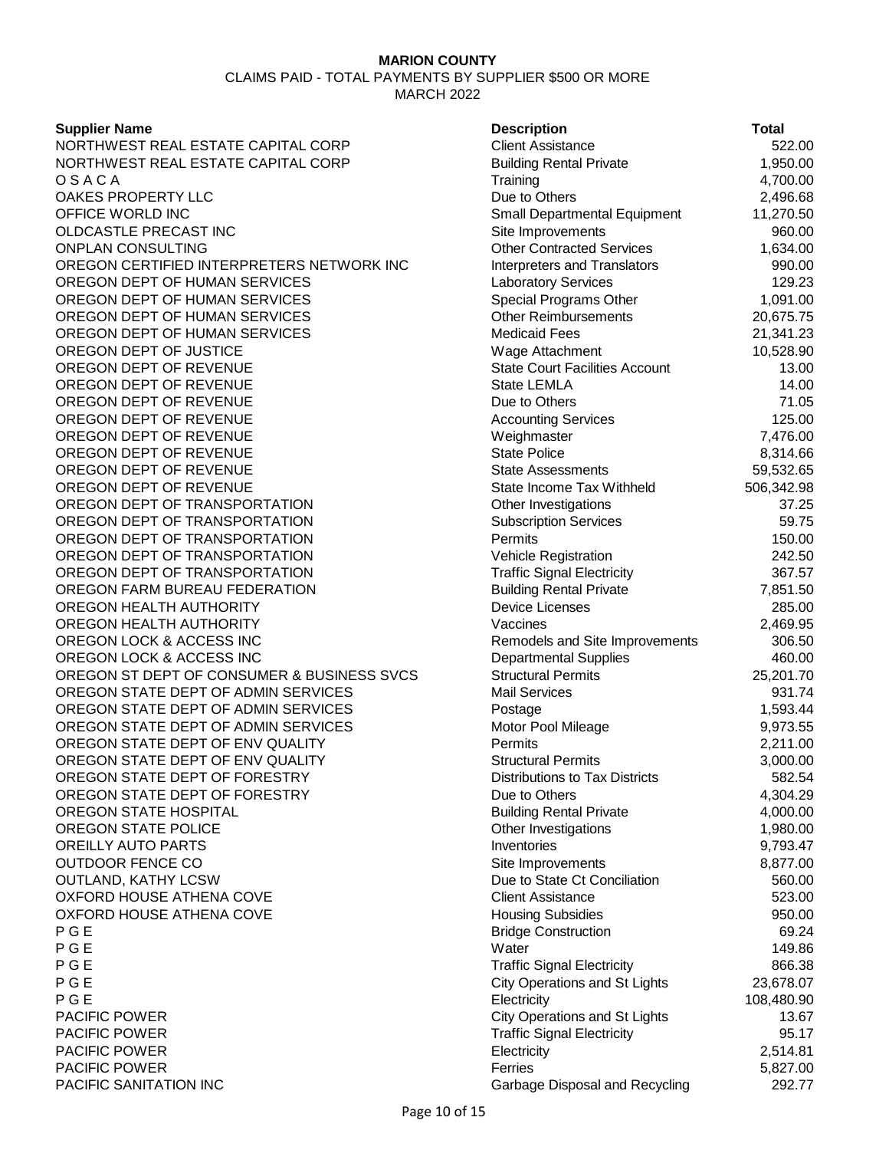### **MARION COUNTY** CLAIMS PAID - TOTAL PAYMENTS BY SUPPLIER \$500 OR MORE

MARCH 2022

**Supplier Name** NORTHWEST REAL ESTATE CAPITAL CORP NORTHWEST REAL ESTATE CAPITAL CORP O S A C A Training 4,700.00 OAKES PROPERTY LLC OFFICE WORLD INC OLDCASTLE PRECAST INC ONPLAN CONSULTING OREGON CERTIFIED INTERPRETERS NETWORK INC OREGON DEPT OF HUMAN SERVICES OREGON DEPT OF HUMAN SERVICES OREGON DEPT OF HUMAN SERVICES OREGON DEPT OF HUMAN SERVICES OREGON DEPT OF JUSTICE OREGON DEPT OF REVENUE OREGON DEPT OF REVENUE OREGON DEPT OF REVENUE OREGON DEPT OF REVENUE OREGON DEPT OF REVENUE OREGON DEPT OF REVENUE OREGON DEPT OF REVENUE OREGON DEPT OF REVENUE OREGON DEPT OF TRANSPORTATION OREGON DEPT OF TRANSPORTATION OREGON DEPT OF TRANSPORTATION OREGON DEPT OF TRANSPORTATION OREGON DEPT OF TRANSPORTATION OREGON FARM BUREAU FEDERATION OREGON HEALTH AUTHORITY OREGON HEALTH AUTHORITY OREGON LOCK & ACCESS INC OREGON LOCK & ACCESS INC OREGON ST DEPT OF CONSUMER & BUSINESS SVCS OREGON STATE DEPT OF ADMIN SERVICES OREGON STATE DEPT OF ADMIN SERVICES OREGON STATE DEPT OF ADMIN SERVICES OREGON STATE DEPT OF ENV QUALITY OREGON STATE DEPT OF ENV QUALITY OREGON STATE DEPT OF FORESTRY OREGON STATE DEPT OF FORESTRY OREGON STATE HOSPITAL OREGON STATE POLICE **OREILLY AUTO PARTS OUTDOOR FENCE CO OUTLAND, KATHY LCSW** OXFORD HOUSE ATHENA COVE OXFORD HOUSE ATHENA COVE P G E Bridge Construction 69.24 P G E New York 149.86 (North 2002) 2014 149.86 (North 2002) 2014 149.86 (North 2004) 2014 149.86 (North 2004) P G E Traffic Signal Electricity 866.38 P G E City Operations and St Lights 23,678.07 P G E Electricity 108,480.90 **PACIFIC POWER PACIFIC POWER PACIFIC POWER** PACIFIC POWER PACIFIC SANITATION INC **CONSERVANCE CONSERVANCE CONSERVANCE CONSERVANCE CONSERVANCE CONSERVANCE CONSERVANCE CONSERVANCE CONSERVANCE CONSERVANCE CONSERVANCE CONSERVANCE CONSERVANCE CONSERVANCE CONSERVANCE CONSERVANCE CONSER** 

| <b>Description</b>                    | <b>Total</b> |
|---------------------------------------|--------------|
| <b>Client Assistance</b>              | 522.00       |
| <b>Building Rental Private</b>        | 1,950.00     |
| Training                              | 4,700.00     |
| Due to Others                         | 2,496.68     |
| Small Departmental Equipment          | 11,270.50    |
| Site Improvements                     | 960.00       |
| <b>Other Contracted Services</b>      | 1,634.00     |
| <b>Interpreters and Translators</b>   | 990.00       |
| Laboratory Services                   | 129.23       |
| <b>Special Programs Other</b>         | 1,091.00     |
| <b>Other Reimbursements</b>           | 20,675.75    |
| <b>Medicaid Fees</b>                  | 21,341.23    |
| Wage Attachment                       | 10,528.90    |
| <b>State Court Facilities Account</b> | 13.00        |
| State LEMLA                           | 14.00        |
| Due to Others                         | 71.05        |
| <b>Accounting Services</b>            | 125.00       |
| Weighmaster                           | 7,476.00     |
| <b>State Police</b>                   | 8,314.66     |
| <b>State Assessments</b>              | 59,532.65    |
| State Income Tax Withheld             | 506,342.98   |
| Other Investigations                  | 37.25        |
| <b>Subscription Services</b>          | 59.75        |
| Permits                               | 150.00       |
| <b>Vehicle Registration</b>           | 242.50       |
| <b>Traffic Signal Electricity</b>     | 367.57       |
| <b>Building Rental Private</b>        | 7,851.50     |
| <b>Device Licenses</b>                | 285.00       |
| Vaccines                              | 2,469.95     |
| Remodels and Site Improvements        | 306.50       |
| <b>Departmental Supplies</b>          | 460.00       |
| <b>Structural Permits</b>             | 25,201.70    |
| <b>Mail Services</b>                  | 931.74       |
| Postage                               | 1,593.44     |
| Motor Pool Mileage                    | 9,973.55     |
| Permits                               | 2,211.00     |
| <b>Structural Permits</b>             | 3,000.00     |
| <b>Distributions to Tax Districts</b> | 582.54       |
| Due to Others                         | 4,304.29     |
| <b>Building Rental Private</b>        | 4,000.00     |
| Other Investigations                  | 1,980.00     |
| Inventories                           | 9,793.47     |
| Site Improvements                     | 8,877.00     |
| Due to State Ct Conciliation          | 560.00       |
| <b>Client Assistance</b>              | 523.00       |
| <b>Housing Subsidies</b>              | 950.00       |
| <b>Bridge Construction</b>            | 69.24        |
| Water                                 | 149.86       |
| <b>Traffic Signal Electricity</b>     | 866.38       |
| <b>City Operations and St Lights</b>  | 23,678.07    |
| Electricity                           | 108,480.90   |
| <b>City Operations and St Lights</b>  | 13.67        |
| <b>Traffic Signal Electricity</b>     | 95.17        |
| Electricity                           | 2,514.81     |
| Ferries                               | 5,827.00     |
| Garbage Disposal and Recycling        | 292.77       |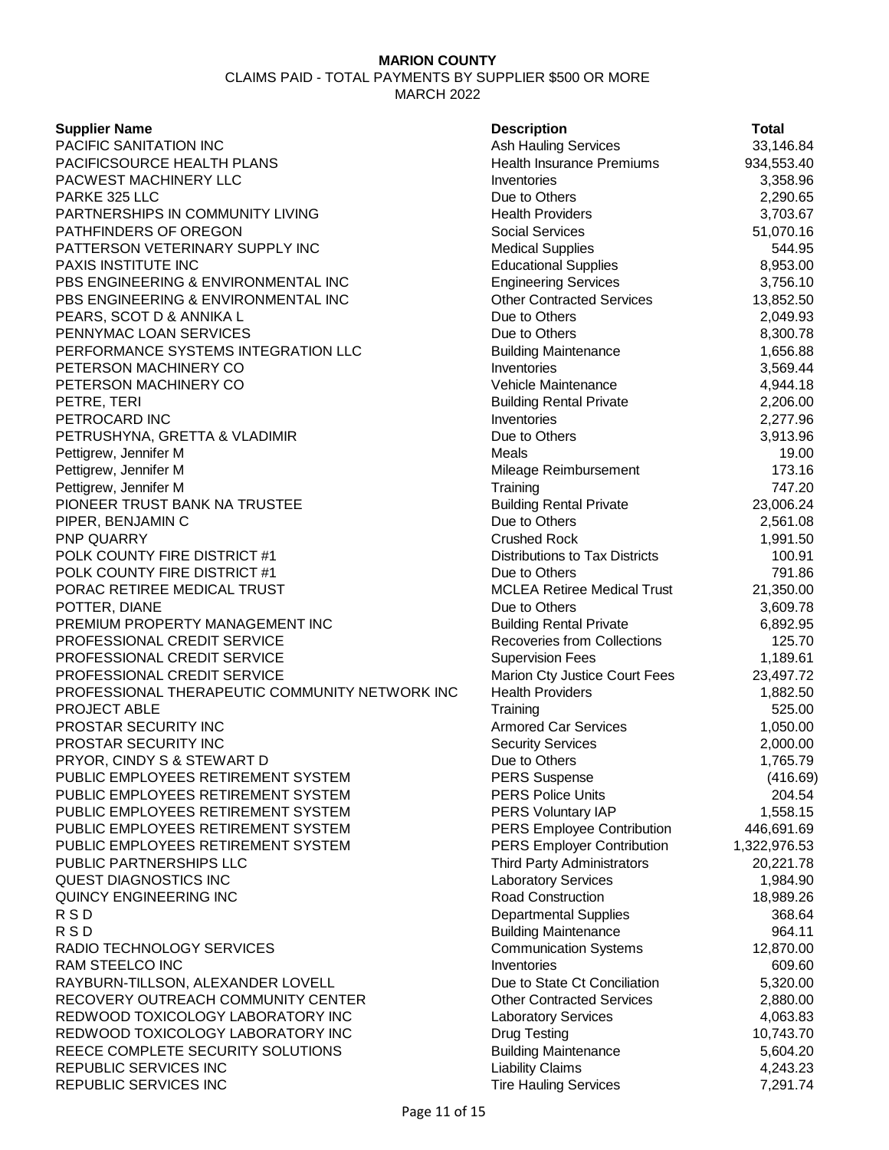CLAIMS PAID - TOTAL PAYMENTS BY SUPPLIER \$500 OR MORE MARCH 2022

### **Supplier Name**

PACIFIC SANITATION INC PACIFICSOURCE HEALTH PLANS PACWEST MACHINERY LLC PARKE 325 LLC PARTNERSHIPS IN COMMUNITY LIVING PATHFINDERS OF OREGON PATTERSON VETERINARY SUPPLY INC **PAXIS INSTITUTE INC.** PBS ENGINEERING & ENVIRONMENTAL INC PBS ENGINEERING & ENVIRONMENTAL INC PEARS, SCOT D & ANNIKA L PENNYMAC LOAN SERVICES PERFORMANCE SYSTEMS INTEGRATION LLC PETERSON MACHINERY CO PETERSON MACHINERY CO PETRE, TERI Building Rental Private 2,206.00 PETROCARD INC PETRUSHYNA, GRETTA & VLADIMIR Pettigrew, Jennifer M Pettigrew, Jennifer M Pettigrew, Jennifer M PIONEER TRUST BANK NA TRUSTEE PIPER, BENJAMIN C PNP QUARRY POLK COUNTY FIRE DISTRICT #1 POLK COUNTY FIRE DISTRICT #1 PORAC RETIREE MEDICAL TRUST POTTER, DIANE PREMIUM PROPERTY MANAGEMENT INC PROFESSIONAL CREDIT SERVICE PROFESSIONAL CREDIT SERVICE PROFESSIONAL CREDIT SERVICE PROFESSIONAL THERAPEUTIC COMMUNITY NETWORK INC **PROJECT ABLE** PROSTAR SECURITY INC PROSTAR SECURITY INC PRYOR, CINDY S & STEWART D PUBLIC EMPLOYEES RETIREMENT SYSTEM PUBLIC EMPLOYEES RETIREMENT SYSTEM PUBLIC EMPLOYEES RETIREMENT SYSTEM PUBLIC EMPLOYEES RETIREMENT SYSTEM PUBLIC EMPLOYEES RETIREMENT SYSTEM PUBLIC PARTNERSHIPS LLC QUEST DIAGNOSTICS INC QUINCY ENGINEERING INC R S D Departmental Supplies 368.64 R S D Building Maintenance 964.11 RADIO TECHNOLOGY SERVICES RAM STEELCO INC RAYBURN-TILLSON, ALEXANDER LOVELL RECOVERY OUTREACH COMMUNITY CENTER REDWOOD TOXICOLOGY LABORATORY INC REDWOOD TOXICOLOGY LABORATORY INC REECE COMPLETE SECURITY SOLUTIONS REPUBLIC SERVICES INC REPUBLIC SERVICES INC

| <b>Description</b>                                      | <b>Total</b>         |
|---------------------------------------------------------|----------------------|
| <b>Ash Hauling Services</b>                             | 33,146.84            |
| <b>Health Insurance Premiums</b>                        | 934,553.40           |
| Inventories                                             | 3,358.96             |
| Due to Others                                           | 2,290.65             |
| <b>Health Providers</b>                                 | 3,703.67             |
| <b>Social Services</b>                                  | 51,070.16            |
| <b>Medical Supplies</b>                                 | 544.95               |
| <b>Educational Supplies</b>                             | 8,953.00             |
| <b>Engineering Services</b>                             | 3,756.10             |
| <b>Other Contracted Services</b>                        | 13,852.50            |
| Due to Others                                           | 2,049.93             |
| Due to Others                                           | 8,300.78             |
| <b>Building Maintenance</b>                             | 1,656.88             |
| Inventories                                             | 3,569.44             |
| Vehicle Maintenance                                     | 4,944.18             |
| <b>Building Rental Private</b>                          | 2,206.00             |
| Inventories                                             | 2,277.96             |
| Due to Others                                           | 3,913.96             |
| Meals                                                   | 19.00                |
| Mileage Reimbursement                                   | 173.16               |
| Training                                                | 747.20               |
| <b>Building Rental Private</b>                          | 23,006.24            |
| Due to Others                                           | 2,561.08             |
| <b>Crushed Rock</b>                                     | 1,991.50             |
| <b>Distributions to Tax Districts</b>                   | 100.91               |
| Due to Others                                           | 791.86               |
| <b>MCLEA Retiree Medical Trust</b>                      | 21,350.00            |
| Due to Others                                           | 3,609.78             |
| <b>Building Rental Private</b>                          | 6,892.95             |
| <b>Recoveries from Collections</b>                      | 125.70               |
| <b>Supervision Fees</b>                                 | 1,189.61             |
| Marion Cty Justice Court Fees                           | 23,497.72            |
| <b>Health Providers</b>                                 | 1,882.50             |
| Training                                                | 525.00               |
| <b>Armored Car Services</b>                             | 1,050.00             |
| <b>Security Services</b>                                | 2,000.00             |
| Due to Others                                           | 1,765.79             |
| <b>PERS Suspense</b>                                    | (416.69)             |
| <b>PERS Police Units</b>                                | 204.54               |
| PERS Voluntary IAP                                      | 1,558.15             |
| <b>PERS Employee Contribution</b>                       | 446,691.69           |
| <b>PERS Employer Contribution</b>                       | 1,322,976.53         |
| <b>Third Party Administrators</b>                       | 20,221.78            |
| Laboratory Services                                     | 1,984.90             |
| Road Construction                                       | 18,989.26            |
| <b>Departmental Supplies</b>                            | 368.64               |
| <b>Building Maintenance</b>                             | 964.11               |
| <b>Communication Systems</b>                            | 12,870.00            |
| Inventories                                             | 609.60               |
| Due to State Ct Conciliation                            | 5,320.00             |
| <b>Other Contracted Services</b>                        | 2,880.00             |
| <b>Laboratory Services</b>                              | 4,063.83             |
| <b>Drug Testing</b>                                     | 10,743.70            |
| <b>Building Maintenance</b>                             | 5,604.20             |
| <b>Liability Claims</b><br><b>Tire Hauling Services</b> | 4,243.23<br>7.291.74 |
|                                                         |                      |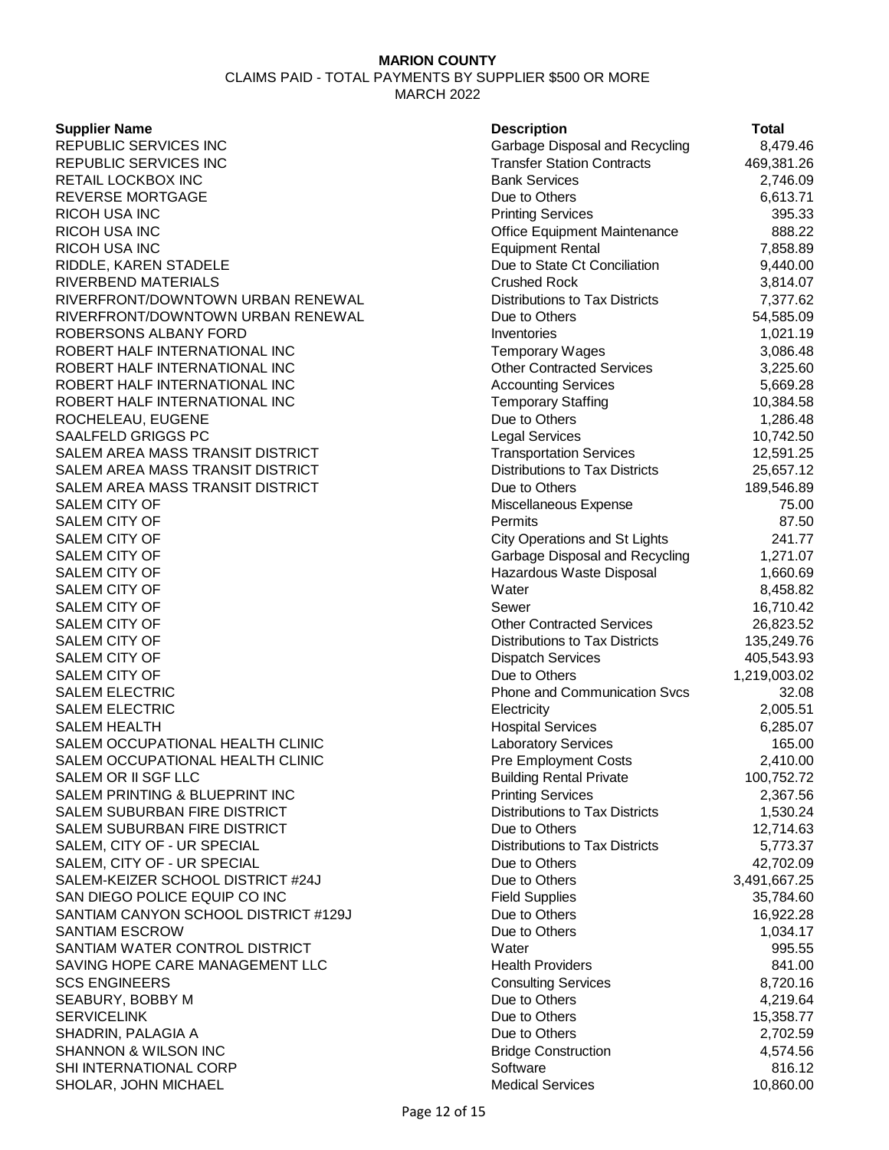CLAIMS PAID - TOTAL PAYMENTS BY SUPPLIER \$500 OR MORE MARCH 2022

#### **Supplier Name**

| <b>Supplier Name</b>                 | <b>Description</b>                    | <b>Total</b> |
|--------------------------------------|---------------------------------------|--------------|
| REPUBLIC SERVICES INC                | Garbage Disposal and Recycling        | 8,479.46     |
| REPUBLIC SERVICES INC                | <b>Transfer Station Contracts</b>     | 469,381.26   |
| RETAIL LOCKBOX INC                   | <b>Bank Services</b>                  | 2,746.09     |
| <b>REVERSE MORTGAGE</b>              | Due to Others                         | 6,613.71     |
| RICOH USA INC                        | <b>Printing Services</b>              | 395.33       |
| RICOH USA INC                        | Office Equipment Maintenance          | 888.22       |
| RICOH USA INC                        | <b>Equipment Rental</b>               | 7,858.89     |
| RIDDLE, KAREN STADELE                | Due to State Ct Conciliation          | 9,440.00     |
| RIVERBEND MATERIALS                  | <b>Crushed Rock</b>                   | 3,814.07     |
| RIVERFRONT/DOWNTOWN URBAN RENEWAL    | <b>Distributions to Tax Districts</b> | 7,377.62     |
| RIVERFRONT/DOWNTOWN URBAN RENEWAL    | Due to Others                         | 54,585.09    |
| ROBERSONS ALBANY FORD                | Inventories                           | 1,021.19     |
| ROBERT HALF INTERNATIONAL INC        | <b>Temporary Wages</b>                | 3,086.48     |
| ROBERT HALF INTERNATIONAL INC        | <b>Other Contracted Services</b>      | 3,225.60     |
| ROBERT HALF INTERNATIONAL INC        | <b>Accounting Services</b>            | 5,669.28     |
| ROBERT HALF INTERNATIONAL INC        | <b>Temporary Staffing</b>             | 10,384.58    |
| ROCHELEAU, EUGENE                    | Due to Others                         | 1,286.48     |
| SAALFELD GRIGGS PC                   | <b>Legal Services</b>                 | 10,742.50    |
| SALEM AREA MASS TRANSIT DISTRICT     | <b>Transportation Services</b>        | 12,591.25    |
| SALEM AREA MASS TRANSIT DISTRICT     | <b>Distributions to Tax Districts</b> | 25,657.12    |
| SALEM AREA MASS TRANSIT DISTRICT     | Due to Others                         | 189,546.89   |
| SALEM CITY OF                        | Miscellaneous Expense                 | 75.00        |
| SALEM CITY OF                        | Permits                               | 87.50        |
| SALEM CITY OF                        | <b>City Operations and St Lights</b>  | 241.77       |
| <b>SALEM CITY OF</b>                 | Garbage Disposal and Recycling        | 1,271.07     |
| SALEM CITY OF                        | Hazardous Waste Disposal              | 1,660.69     |
| SALEM CITY OF                        | Water                                 | 8,458.82     |
| <b>SALEM CITY OF</b>                 | Sewer                                 | 16,710.42    |
| SALEM CITY OF                        | <b>Other Contracted Services</b>      | 26,823.52    |
| <b>SALEM CITY OF</b>                 | Distributions to Tax Districts        | 135,249.76   |
| SALEM CITY OF                        | <b>Dispatch Services</b>              | 405,543.93   |
| SALEM CITY OF                        | Due to Others                         | 1,219,003.02 |
| <b>SALEM ELECTRIC</b>                | <b>Phone and Communication Svcs</b>   | 32.08        |
| SALEM ELECTRIC                       | Electricity                           | 2,005.51     |
| SALEM HEALTH                         | <b>Hospital Services</b>              | 6,285.07     |
| SALEM OCCUPATIONAL HEALTH CLINIC     | <b>Laboratory Services</b>            | 165.00       |
| SALEM OCCUPATIONAL HEALTH CLINIC     | <b>Pre Employment Costs</b>           | 2,410.00     |
| SALEM OR II SGF LLC                  | <b>Building Rental Private</b>        | 100,752.72   |
| SALEM PRINTING & BLUEPRINT INC       | <b>Printing Services</b>              | 2,367.56     |
| SALEM SUBURBAN FIRE DISTRICT         | Distributions to Tax Districts        | 1,530.24     |
| SALEM SUBURBAN FIRE DISTRICT         | Due to Others                         | 12,714.63    |
| SALEM, CITY OF - UR SPECIAL          | <b>Distributions to Tax Districts</b> | 5,773.37     |
| SALEM, CITY OF - UR SPECIAL          | Due to Others                         | 42,702.09    |
| SALEM-KEIZER SCHOOL DISTRICT #24J    | Due to Others                         | 3,491,667.25 |
| SAN DIEGO POLICE EQUIP CO INC        | <b>Field Supplies</b>                 | 35,784.60    |
| SANTIAM CANYON SCHOOL DISTRICT #129J | Due to Others                         | 16,922.28    |
| SANTIAM ESCROW                       | Due to Others                         | 1,034.17     |
| SANTIAM WATER CONTROL DISTRICT       | Water                                 | 995.55       |
| SAVING HOPE CARE MANAGEMENT LLC      | <b>Health Providers</b>               | 841.00       |
| <b>SCS ENGINEERS</b>                 | <b>Consulting Services</b>            | 8,720.16     |
| SEABURY, BOBBY M                     | Due to Others                         | 4,219.64     |
| SERVICELINK                          | Due to Others                         | 15,358.77    |
| SHADRIN, PALAGIA A                   | Due to Others                         | 2,702.59     |
| SHANNON & WILSON INC                 | <b>Bridge Construction</b>            | 4,574.56     |
| SHI INTERNATIONAL CORP               | Software                              | 816.12       |
| SHOLAR, JOHN MICHAEL                 | <b>Medical Services</b>               | 10,860.00    |
|                                      |                                       |              |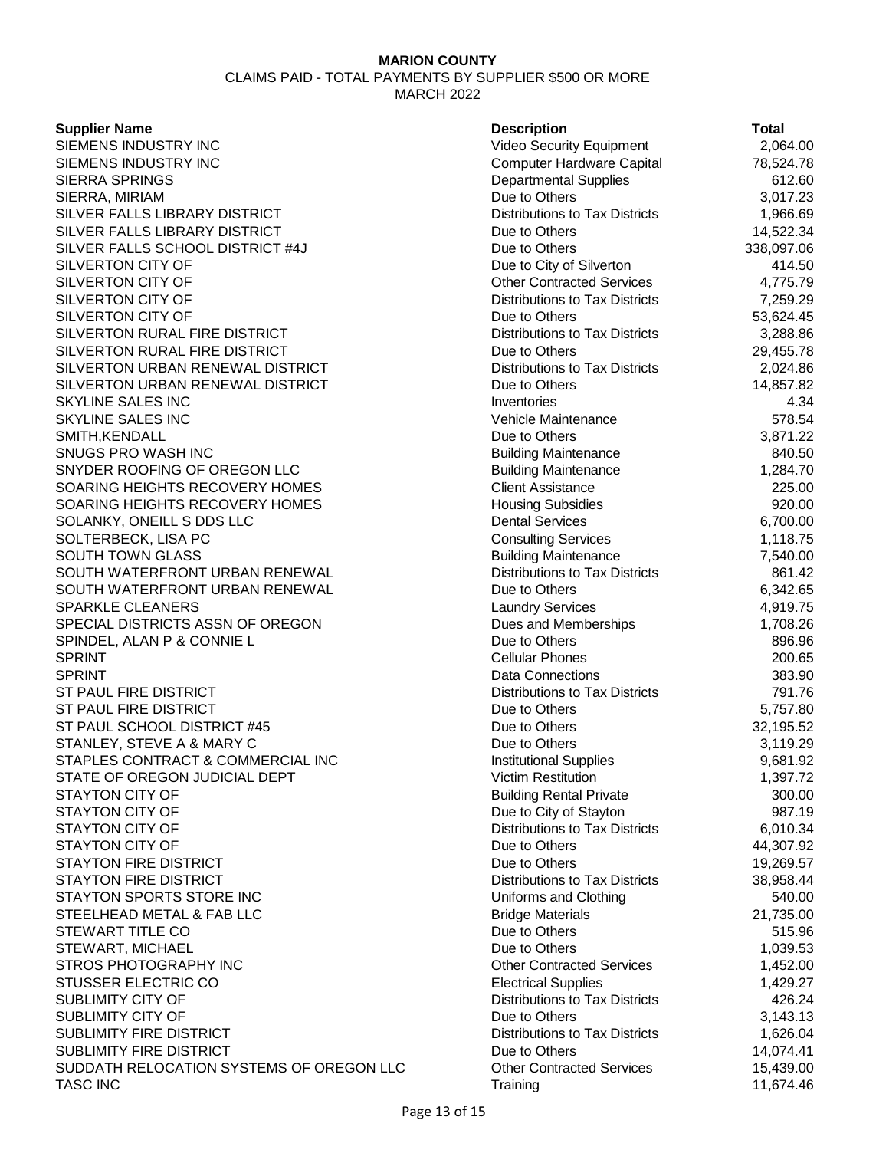CLAIMS PAID - TOTAL PAYMENTS BY SUPPLIER \$500 OR MORE MARCH 2022

#### **Supplier Name**

SIEMENS INDUSTRY INC SIEMENS INDUSTRY INC SIERRA SPRINGS SIERRA, MIRIAM SILVER FALLS LIBRARY DISTRICT SILVER FALLS LIBRARY DISTRICT SILVER FALLS SCHOOL DISTRICT #4J SILVERTON CITY OF SILVERTON CITY OF SILVERTON CITY OF SILVERTON CITY OF SILVERTON RURAL FIRE DISTRICT SILVERTON RURAL FIRE DISTRICT SILVERTON URBAN RENEWAL DISTRICT SILVERTON URBAN RENEWAL DISTRICT **SKYLINE SALES INC** SKYLINE SALES INC SMITH, KENDALL SNUGS PRO WASH INC SNYDER ROOFING OF OREGON LLC SOARING HEIGHTS RECOVERY HOMES SOARING HEIGHTS RECOVERY HOMES SOLANKY, ONEILL S DDS LLC SOLTERBECK, LISA PC **SOUTH TOWN GLASS** SOUTH WATERFRONT URBAN RENEWAL SOUTH WATERFRONT URBAN RENEWAL SPARKLE CLEANERS SPECIAL DISTRICTS ASSN OF OREGON SPINDEL, ALAN P & CONNIE L SPRINT 200.65 SPRINT **SERINT** 383.90 ST PAUL FIRE DISTRICT ST PAUL FIRE DISTRICT ST PAUL SCHOOL DISTRICT #45 STANLEY, STEVE A & MARY C STAPLES CONTRACT & COMMERCIAL INC STATE OF OREGON JUDICIAL DEPT STAYTON CITY OF STAYTON CITY OF STAYTON CITY OF **STAYTON CITY OF** STAYTON FIRE DISTRICT STAYTON FIRE DISTRICT STAYTON SPORTS STORE INC STEELHEAD METAL & FAB LLC STEWART TITLE CO STEWART, MICHAEL STROS PHOTOGRAPHY INC STUSSER ELECTRIC CO SUBLIMITY CITY OF SUBLIMITY CITY OF SUBLIMITY FIRE DISTRICT SUBLIMITY FIRE DISTRICT SUDDATH RELOCATION SYSTEMS OF OREGON LLC TASC INC Training 11,674.46

| <b>Description</b>                                     | Total                 |
|--------------------------------------------------------|-----------------------|
| Video Security Equipment                               | 2,064.00              |
| <b>Computer Hardware Capital</b>                       | 78,524.78             |
| <b>Departmental Supplies</b>                           | 612.60                |
| Due to Others                                          | 3,017.23              |
| <b>Distributions to Tax Districts</b>                  | 1,966.69              |
| Due to Others                                          | 14,522.34             |
| Due to Others                                          | 338,097.06            |
| Due to City of Silverton                               | 414.50                |
| <b>Other Contracted Services</b>                       | 4,775.79              |
| Distributions to Tax Districts                         | 7,259.29              |
| Due to Others                                          | 53,624.45             |
| <b>Distributions to Tax Districts</b>                  | 3,288.86              |
| Due to Others                                          | 29,455.78             |
| <b>Distributions to Tax Districts</b>                  | 2,024.86              |
| Due to Others                                          | 14,857.82             |
| Inventories                                            | 4.34                  |
| Vehicle Maintenance                                    | 578.54                |
| Due to Others                                          | 3,871.22              |
| <b>Building Maintenance</b>                            | 840.50                |
| <b>Building Maintenance</b>                            | 1,284.70              |
| <b>Client Assistance</b>                               | 225.00                |
| <b>Housing Subsidies</b>                               | 920.00                |
| <b>Dental Services</b>                                 | 6,700.00              |
| <b>Consulting Services</b>                             | 1,118.75              |
| <b>Building Maintenance</b>                            | 7,540.00              |
| <b>Distributions to Tax Districts</b>                  | 861.42                |
| Due to Others                                          | 6,342.65              |
| <b>Laundry Services</b>                                | 4,919.75              |
| Dues and Memberships                                   | 1,708.26              |
| Due to Others                                          | 896.96                |
| <b>Cellular Phones</b>                                 | 200.65                |
| <b>Data Connections</b>                                | 383.90                |
| <b>Distributions to Tax Districts</b>                  | 791.76                |
| Due to Others                                          | 5,757.80              |
| Due to Others                                          | 32,195.52             |
| Due to Others                                          | 3,119.29              |
| <b>Institutional Supplies</b>                          | 9,681.92              |
| <b>Victim Restitution</b>                              | 1,397.72              |
| <b>Building Rental Private</b>                         | 300.00                |
| Due to City of Stayton                                 | 987.19                |
| <b>Distributions to Tax Districts</b>                  | 6,010.34              |
| Due to Others                                          | 44,307.92             |
| Due to Others                                          | 19,269.57             |
| <b>Distributions to Tax Districts</b>                  | 38,958.44             |
| Uniforms and Clothing                                  | 540.00                |
| <b>Bridge Materials</b><br>Due to Others               | 21,735.00             |
| Due to Others                                          | 515.96                |
| <b>Other Contracted Services</b>                       | 1,039.53              |
|                                                        | 1,452.00              |
| <b>Electrical Supplies</b>                             | 1,429.27              |
| <b>Distributions to Tax Districts</b><br>Due to Others | 426.24<br>3,143.13    |
| <b>Distributions to Tax Districts</b>                  |                       |
| Due to Others                                          | 1,626.04<br>14,074.41 |
| <b>Other Contracted Services</b>                       | 15,439.00             |
| Training                                               | 11.674.46             |
|                                                        |                       |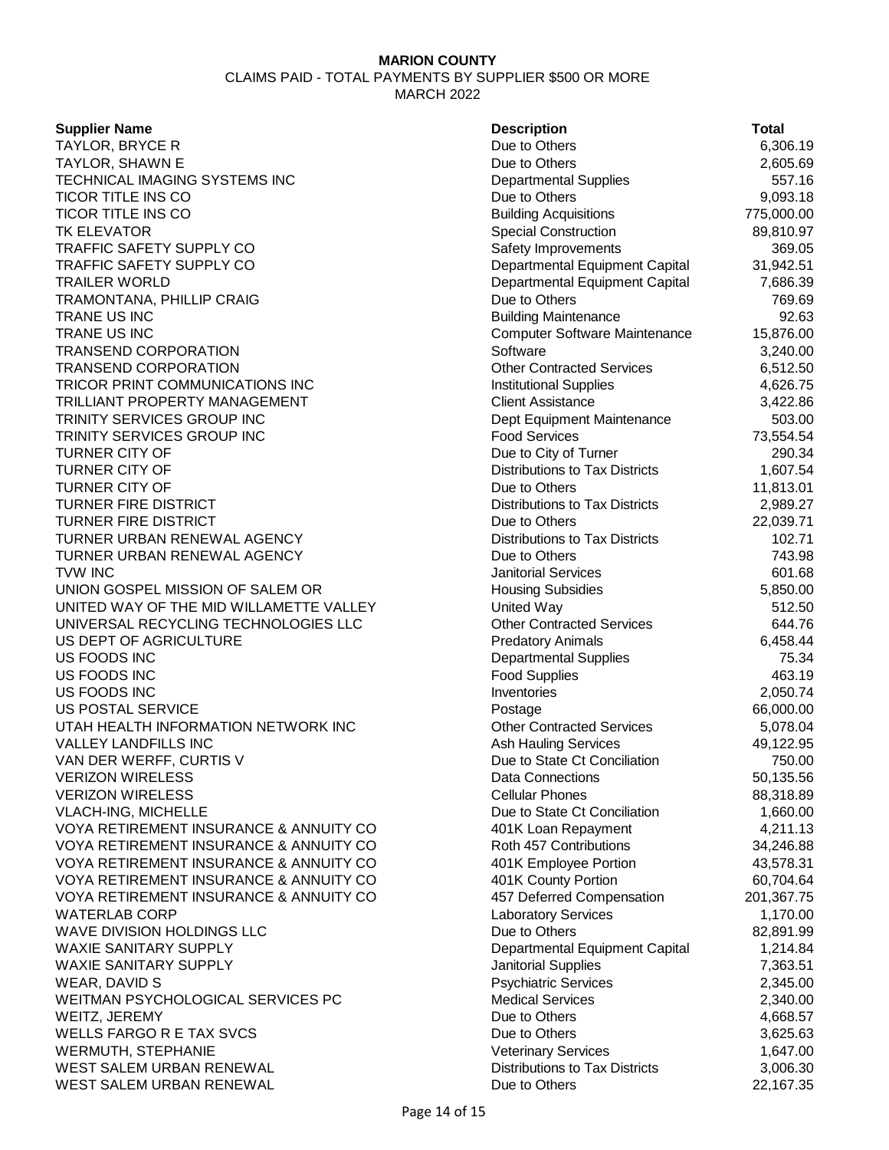CLAIMS PAID - TOTAL PAYMENTS BY SUPPLIER \$500 OR MORE MARCH 2022

### **Supplier Name**

TAYLOR, BRYCE R TAYLOR, SHAWN E TECHNICAL IMAGING SYSTEMS INC TICOR TITLE INS CO TICOR TITLE INS CO **TK ELEVATOR** TRAFFIC SAFETY SUPPLY CO TRAFFIC SAFETY SUPPLY CO TRAILER WORLD TRAMONTANA, PHILLIP CRAIG TRANE US INC **TRANE US INC** TRANSEND CORPORATION TRANSEND CORPORATION TRICOR PRINT COMMUNICATIONS INC TRILLIANT PROPERTY MANAGEMENT TRINITY SERVICES GROUP INC TRINITY SERVICES GROUP INC **TURNER CITY OF TURNER CITY OF TURNER CITY OF** TURNER FIRE DISTRICT **TURNER FIRE DISTRICT** TURNER URBAN RENEWAL AGENCY TURNER URBAN RENEWAL AGENCY TVW INC 601.68 UNION GOSPEL MISSION OF SALEM OR UNITED WAY OF THE MID WILLAMETTE VALLEY UNIVERSAL RECYCLING TECHNOLOGIES LLC US DEPT OF AGRICULTURE US FOODS INC US FOODS INC US FOODS INC **US POSTAL SERVICE** UTAH HEALTH INFORMATION NETWORK INC VALLEY LANDFILLS INC VAN DER WERFF, CURTIS V **VERIZON WIRELESS VERIZON WIRELESS** VLACH-ING, MICHELLE VOYA RETIREMENT INSURANCE & ANNUITY CO VOYA RETIREMENT INSURANCE & ANNUITY CO VOYA RETIREMENT INSURANCE & ANNUITY CO VOYA RETIREMENT INSURANCE & ANNUITY CO VOYA RETIREMENT INSURANCE & ANNUITY COMP WATERLAB CORP WAVE DIVISION HOLDINGS LLC WAXIE SANITARY SUPPLY WAXIE SANITARY SUPPLY WEAR, DAVID S WEITMAN PSYCHOLOGICAL SERVICES PC WEITZ, JEREMY WELLS FARGO R E TAX SVCS WERMUTH, STEPHANIE WEST SALEM URBAN RENEWAL WEST SALEM URBAN RENEWAL **Due to Others** 22,167.35

| <b>Description</b>                    | Total      |
|---------------------------------------|------------|
| Due to Others                         | 6,306.19   |
| Due to Others                         | 2,605.69   |
| <b>Departmental Supplies</b>          | 557.16     |
| Due to Others                         | 9,093.18   |
| <b>Building Acquisitions</b>          | 775,000.00 |
| <b>Special Construction</b>           | 89,810.97  |
| Safety Improvements                   | 369.05     |
| Departmental Equipment Capital        | 31,942.51  |
| Departmental Equipment Capital        | 7,686.39   |
| Due to Others                         | 769.69     |
| <b>Building Maintenance</b>           | 92.63      |
| <b>Computer Software Maintenance</b>  | 15,876.00  |
| Software                              | 3,240.00   |
| <b>Other Contracted Services</b>      | 6,512.50   |
| <b>Institutional Supplies</b>         | 4,626.75   |
| <b>Client Assistance</b>              | 3,422.86   |
| Dept Equipment Maintenance            | 503.00     |
| <b>Food Services</b>                  | 73,554.54  |
| Due to City of Turner                 | 290.34     |
| <b>Distributions to Tax Districts</b> | 1,607.54   |
| Due to Others                         | 11,813.01  |
| <b>Distributions to Tax Districts</b> | 2,989.27   |
| Due to Others                         | 22,039.71  |
| <b>Distributions to Tax Districts</b> | 102.71     |
| Due to Others                         | 743.98     |
| <b>Janitorial Services</b>            | 601.68     |
| <b>Housing Subsidies</b>              | 5,850.00   |
| United Way                            | 512.50     |
| <b>Other Contracted Services</b>      | 644.76     |
| <b>Predatory Animals</b>              | 6,458.44   |
| <b>Departmental Supplies</b>          | 75.34      |
| <b>Food Supplies</b>                  | 463.19     |
| Inventories                           | 2,050.74   |
| Postage                               | 66,000.00  |
| <b>Other Contracted Services</b>      | 5,078.04   |
| <b>Ash Hauling Services</b>           | 49,122.95  |
| Due to State Ct Conciliation          | 750.00     |
| <b>Data Connections</b>               | 50,135.56  |
| <b>Cellular Phones</b>                | 88,318.89  |
| Due to State Ct Conciliation          | 1,660.00   |
| 401K Loan Repayment                   | 4,211.13   |
| Roth 457 Contributions                | 34,246.88  |
| 401K Employee Portion                 | 43,578.31  |
| 401K County Portion                   | 60,704.64  |
| 457 Deferred Compensation             | 201,367.75 |
| <b>Laboratory Services</b>            | 1,170.00   |
| Due to Others                         | 82,891.99  |
| Departmental Equipment Capital        | 1,214.84   |
| Janitorial Supplies                   | 7,363.51   |
| <b>Psychiatric Services</b>           | 2,345.00   |
| <b>Medical Services</b>               | 2,340.00   |
| Due to Others                         | 4,668.57   |
| Due to Others                         | 3,625.63   |
| <b>Veterinary Services</b>            | 1,647.00   |
| <b>Distributions to Tax Districts</b> | 3,006.30   |
| Dup to Others                         | 2216725    |